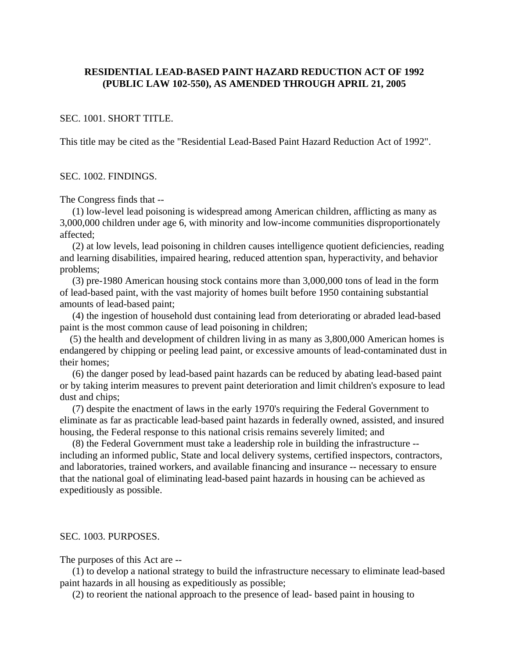### **RESIDENTIAL LEAD-BASED PAINT HAZARD REDUCTION ACT OF 1992 (PUBLIC LAW 102-550), AS AMENDED THROUGH APRIL 21, 2005**

#### SEC. 1001. SHORT TITLE.

This title may be cited as the "Residential Lead-Based Paint Hazard Reduction Act of 1992".

#### SEC. 1002. FINDINGS.

The Congress finds that --

 (1) low-level lead poisoning is widespread among American children, afflicting as many as 3,000,000 children under age 6, with minority and low-income communities disproportionately affected;

 (2) at low levels, lead poisoning in children causes intelligence quotient deficiencies, reading and learning disabilities, impaired hearing, reduced attention span, hyperactivity, and behavior problems;

 (3) pre-1980 American housing stock contains more than 3,000,000 tons of lead in the form of lead-based paint, with the vast majority of homes built before 1950 containing substantial amounts of lead-based paint;

 (4) the ingestion of household dust containing lead from deteriorating or abraded lead-based paint is the most common cause of lead poisoning in children;

 (5) the health and development of children living in as many as 3,800,000 American homes is endangered by chipping or peeling lead paint, or excessive amounts of lead-contaminated dust in their homes;

 (6) the danger posed by lead-based paint hazards can be reduced by abating lead-based paint or by taking interim measures to prevent paint deterioration and limit children's exposure to lead dust and chips;

 (7) despite the enactment of laws in the early 1970's requiring the Federal Government to eliminate as far as practicable lead-based paint hazards in federally owned, assisted, and insured housing, the Federal response to this national crisis remains severely limited; and

 (8) the Federal Government must take a leadership role in building the infrastructure - including an informed public, State and local delivery systems, certified inspectors, contractors, and laboratories, trained workers, and available financing and insurance -- necessary to ensure that the national goal of eliminating lead-based paint hazards in housing can be achieved as expeditiously as possible.

#### SEC. 1003. PURPOSES.

The purposes of this Act are --

 (1) to develop a national strategy to build the infrastructure necessary to eliminate lead-based paint hazards in all housing as expeditiously as possible;

(2) to reorient the national approach to the presence of lead- based paint in housing to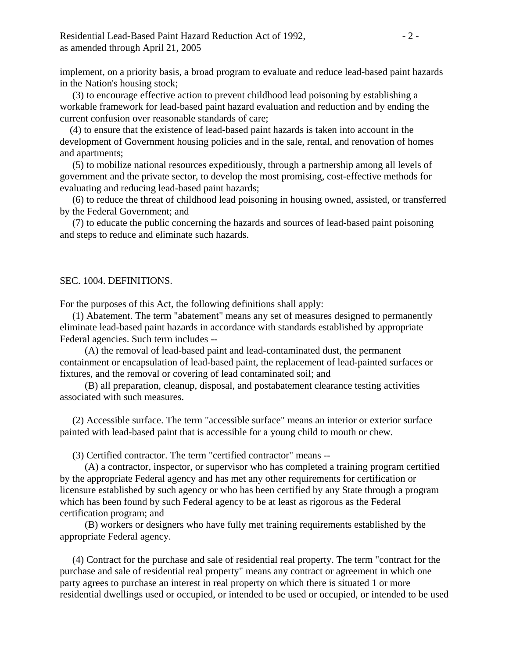implement, on a priority basis, a broad program to evaluate and reduce lead-based paint hazards in the Nation's housing stock;

 (3) to encourage effective action to prevent childhood lead poisoning by establishing a workable framework for lead-based paint hazard evaluation and reduction and by ending the current confusion over reasonable standards of care;

 (4) to ensure that the existence of lead-based paint hazards is taken into account in the development of Government housing policies and in the sale, rental, and renovation of homes and apartments;

 (5) to mobilize national resources expeditiously, through a partnership among all levels of government and the private sector, to develop the most promising, cost-effective methods for evaluating and reducing lead-based paint hazards;

 (6) to reduce the threat of childhood lead poisoning in housing owned, assisted, or transferred by the Federal Government; and

 (7) to educate the public concerning the hazards and sources of lead-based paint poisoning and steps to reduce and eliminate such hazards.

### SEC. 1004. DEFINITIONS.

For the purposes of this Act, the following definitions shall apply:

 (1) Abatement. The term "abatement" means any set of measures designed to permanently eliminate lead-based paint hazards in accordance with standards established by appropriate Federal agencies. Such term includes --

 (A) the removal of lead-based paint and lead-contaminated dust, the permanent containment or encapsulation of lead-based paint, the replacement of lead-painted surfaces or fixtures, and the removal or covering of lead contaminated soil; and

 (B) all preparation, cleanup, disposal, and postabatement clearance testing activities associated with such measures.

 (2) Accessible surface. The term "accessible surface" means an interior or exterior surface painted with lead-based paint that is accessible for a young child to mouth or chew.

(3) Certified contractor. The term "certified contractor" means --

 (A) a contractor, inspector, or supervisor who has completed a training program certified by the appropriate Federal agency and has met any other requirements for certification or licensure established by such agency or who has been certified by any State through a program which has been found by such Federal agency to be at least as rigorous as the Federal certification program; and

 (B) workers or designers who have fully met training requirements established by the appropriate Federal agency.

 (4) Contract for the purchase and sale of residential real property. The term "contract for the purchase and sale of residential real property" means any contract or agreement in which one party agrees to purchase an interest in real property on which there is situated 1 or more residential dwellings used or occupied, or intended to be used or occupied, or intended to be used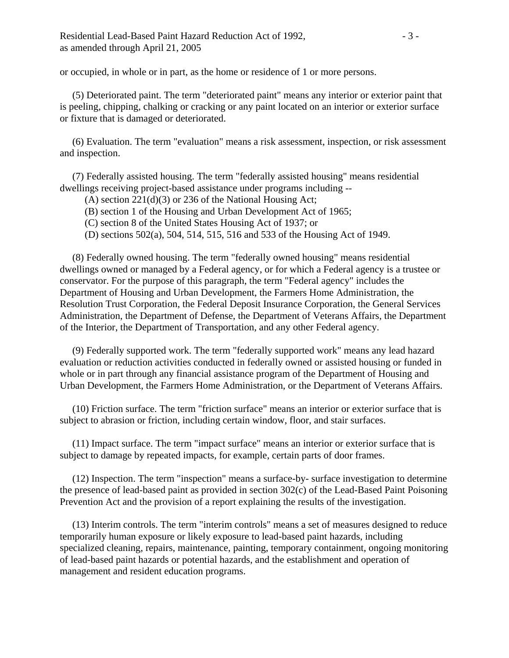or occupied, in whole or in part, as the home or residence of 1 or more persons.

 (5) Deteriorated paint. The term "deteriorated paint" means any interior or exterior paint that is peeling, chipping, chalking or cracking or any paint located on an interior or exterior surface or fixture that is damaged or deteriorated.

 (6) Evaluation. The term "evaluation" means a risk assessment, inspection, or risk assessment and inspection.

 (7) Federally assisted housing. The term "federally assisted housing" means residential dwellings receiving project-based assistance under programs including --

- (A) section 221(d)(3) or 236 of the National Housing Act;
- (B) section 1 of the Housing and Urban Development Act of 1965;
- (C) section 8 of the United States Housing Act of 1937; or
- (D) sections 502(a), 504, 514, 515, 516 and 533 of the Housing Act of 1949.

 (8) Federally owned housing. The term "federally owned housing" means residential dwellings owned or managed by a Federal agency, or for which a Federal agency is a trustee or conservator. For the purpose of this paragraph, the term "Federal agency" includes the Department of Housing and Urban Development, the Farmers Home Administration, the Resolution Trust Corporation, the Federal Deposit Insurance Corporation, the General Services Administration, the Department of Defense, the Department of Veterans Affairs, the Department of the Interior, the Department of Transportation, and any other Federal agency.

 (9) Federally supported work. The term "federally supported work" means any lead hazard evaluation or reduction activities conducted in federally owned or assisted housing or funded in whole or in part through any financial assistance program of the Department of Housing and Urban Development, the Farmers Home Administration, or the Department of Veterans Affairs.

 (10) Friction surface. The term "friction surface" means an interior or exterior surface that is subject to abrasion or friction, including certain window, floor, and stair surfaces.

 (11) Impact surface. The term "impact surface" means an interior or exterior surface that is subject to damage by repeated impacts, for example, certain parts of door frames.

 (12) Inspection. The term "inspection" means a surface-by- surface investigation to determine the presence of lead-based paint as provided in section 302(c) of the Lead-Based Paint Poisoning Prevention Act and the provision of a report explaining the results of the investigation.

 (13) Interim controls. The term "interim controls" means a set of measures designed to reduce temporarily human exposure or likely exposure to lead-based paint hazards, including specialized cleaning, repairs, maintenance, painting, temporary containment, ongoing monitoring of lead-based paint hazards or potential hazards, and the establishment and operation of management and resident education programs.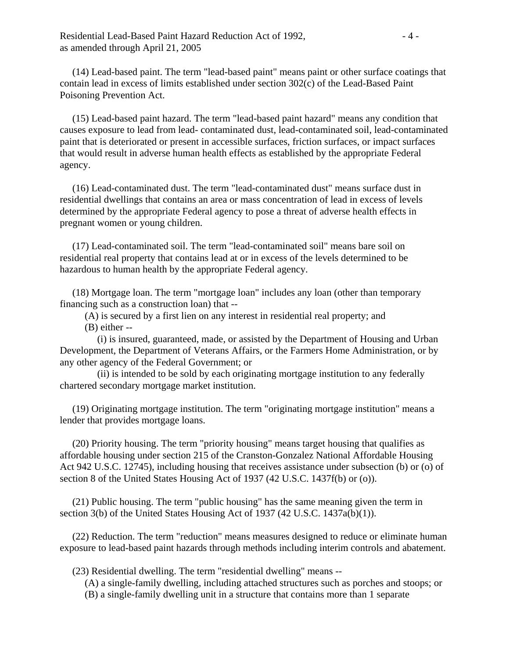Residential Lead-Based Paint Hazard Reduction Act of 1992, 4 as amended through April 21, 2005

 (14) Lead-based paint. The term "lead-based paint" means paint or other surface coatings that contain lead in excess of limits established under section 302(c) of the Lead-Based Paint Poisoning Prevention Act.

 (15) Lead-based paint hazard. The term "lead-based paint hazard" means any condition that causes exposure to lead from lead- contaminated dust, lead-contaminated soil, lead-contaminated paint that is deteriorated or present in accessible surfaces, friction surfaces, or impact surfaces that would result in adverse human health effects as established by the appropriate Federal agency.

 (16) Lead-contaminated dust. The term "lead-contaminated dust" means surface dust in residential dwellings that contains an area or mass concentration of lead in excess of levels determined by the appropriate Federal agency to pose a threat of adverse health effects in pregnant women or young children.

 (17) Lead-contaminated soil. The term "lead-contaminated soil" means bare soil on residential real property that contains lead at or in excess of the levels determined to be hazardous to human health by the appropriate Federal agency.

 (18) Mortgage loan. The term "mortgage loan" includes any loan (other than temporary financing such as a construction loan) that --

(A) is secured by a first lien on any interest in residential real property; and

(B) either --

 (i) is insured, guaranteed, made, or assisted by the Department of Housing and Urban Development, the Department of Veterans Affairs, or the Farmers Home Administration, or by any other agency of the Federal Government; or

 (ii) is intended to be sold by each originating mortgage institution to any federally chartered secondary mortgage market institution.

 (19) Originating mortgage institution. The term "originating mortgage institution" means a lender that provides mortgage loans.

 (20) Priority housing. The term "priority housing" means target housing that qualifies as affordable housing under section 215 of the Cranston-Gonzalez National Affordable Housing Act 942 U.S.C. 12745), including housing that receives assistance under subsection (b) or (o) of section 8 of the United States Housing Act of 1937 (42 U.S.C. 1437f(b) or (o)).

 (21) Public housing. The term "public housing" has the same meaning given the term in section 3(b) of the United States Housing Act of 1937 (42 U.S.C. 1437a(b)(1)).

 (22) Reduction. The term "reduction" means measures designed to reduce or eliminate human exposure to lead-based paint hazards through methods including interim controls and abatement.

(23) Residential dwelling. The term "residential dwelling" means --

(A) a single-family dwelling, including attached structures such as porches and stoops; or

(B) a single-family dwelling unit in a structure that contains more than 1 separate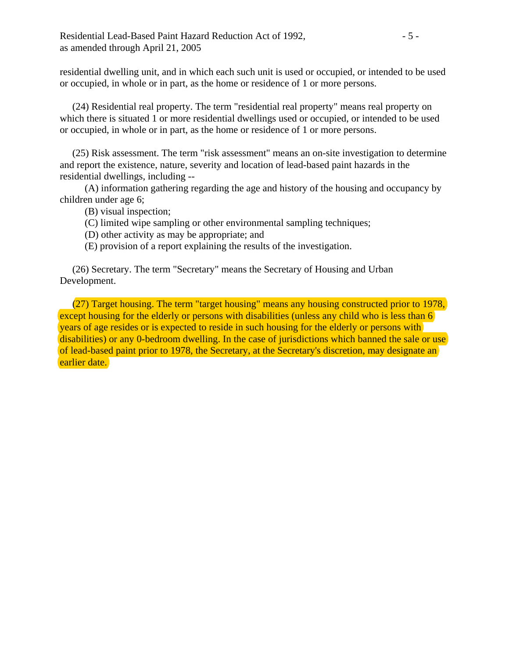residential dwelling unit, and in which each such unit is used or occupied, or intended to be used or occupied, in whole or in part, as the home or residence of 1 or more persons.

 (24) Residential real property. The term "residential real property" means real property on which there is situated 1 or more residential dwellings used or occupied, or intended to be used or occupied, in whole or in part, as the home or residence of 1 or more persons.

 (25) Risk assessment. The term "risk assessment" means an on-site investigation to determine and report the existence, nature, severity and location of lead-based paint hazards in the residential dwellings, including --

 (A) information gathering regarding the age and history of the housing and occupancy by children under age 6;

(B) visual inspection;

(C) limited wipe sampling or other environmental sampling techniques;

(D) other activity as may be appropriate; and

(E) provision of a report explaining the results of the investigation.

 (26) Secretary. The term "Secretary" means the Secretary of Housing and Urban Development.

 (27) Target housing. The term "target housing" means any housing constructed prior to 1978, except housing for the elderly or persons with disabilities (unless any child who is less than 6) years of age resides or is expected to reside in such housing for the elderly or persons with disabilities) or any 0-bedroom dwelling. In the case of jurisdictions which banned the sale or use of lead-based paint prior to 1978, the Secretary, at the Secretary's discretion, may designate an earlier date.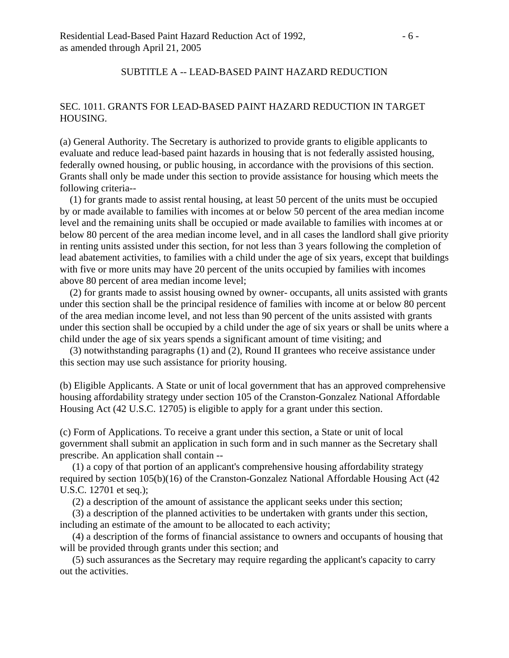### SUBTITLE A -- LEAD-BASED PAINT HAZARD REDUCTION

# SEC. 1011. GRANTS FOR LEAD-BASED PAINT HAZARD REDUCTION IN TARGET HOUSING.

(a) General Authority. The Secretary is authorized to provide grants to eligible applicants to evaluate and reduce lead-based paint hazards in housing that is not federally assisted housing, federally owned housing, or public housing, in accordance with the provisions of this section. Grants shall only be made under this section to provide assistance for housing which meets the following criteria--

 (1) for grants made to assist rental housing, at least 50 percent of the units must be occupied by or made available to families with incomes at or below 50 percent of the area median income level and the remaining units shall be occupied or made available to families with incomes at or below 80 percent of the area median income level, and in all cases the landlord shall give priority in renting units assisted under this section, for not less than 3 years following the completion of lead abatement activities, to families with a child under the age of six years, except that buildings with five or more units may have 20 percent of the units occupied by families with incomes above 80 percent of area median income level;

 (2) for grants made to assist housing owned by owner- occupants, all units assisted with grants under this section shall be the principal residence of families with income at or below 80 percent of the area median income level, and not less than 90 percent of the units assisted with grants under this section shall be occupied by a child under the age of six years or shall be units where a child under the age of six years spends a significant amount of time visiting; and

 (3) notwithstanding paragraphs (1) and (2), Round II grantees who receive assistance under this section may use such assistance for priority housing.

(b) Eligible Applicants. A State or unit of local government that has an approved comprehensive housing affordability strategy under section 105 of the Cranston-Gonzalez National Affordable Housing Act (42 U.S.C. 12705) is eligible to apply for a grant under this section.

(c) Form of Applications. To receive a grant under this section, a State or unit of local government shall submit an application in such form and in such manner as the Secretary shall prescribe. An application shall contain --

 (1) a copy of that portion of an applicant's comprehensive housing affordability strategy required by section 105(b)(16) of the Cranston-Gonzalez National Affordable Housing Act (42 U.S.C. 12701 et seq.);

(2) a description of the amount of assistance the applicant seeks under this section;

 (3) a description of the planned activities to be undertaken with grants under this section, including an estimate of the amount to be allocated to each activity;

 (4) a description of the forms of financial assistance to owners and occupants of housing that will be provided through grants under this section; and

 (5) such assurances as the Secretary may require regarding the applicant's capacity to carry out the activities.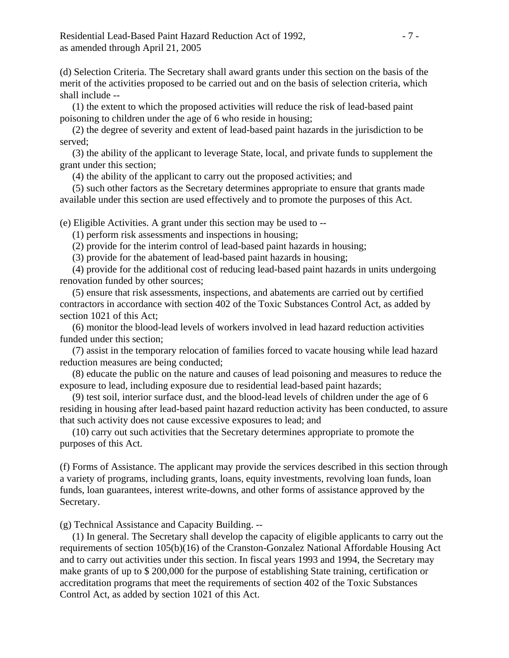(d) Selection Criteria. The Secretary shall award grants under this section on the basis of the merit of the activities proposed to be carried out and on the basis of selection criteria, which shall include --

 (1) the extent to which the proposed activities will reduce the risk of lead-based paint poisoning to children under the age of 6 who reside in housing;

 (2) the degree of severity and extent of lead-based paint hazards in the jurisdiction to be served;

 (3) the ability of the applicant to leverage State, local, and private funds to supplement the grant under this section;

(4) the ability of the applicant to carry out the proposed activities; and

 (5) such other factors as the Secretary determines appropriate to ensure that grants made available under this section are used effectively and to promote the purposes of this Act.

(e) Eligible Activities. A grant under this section may be used to --

(1) perform risk assessments and inspections in housing;

(2) provide for the interim control of lead-based paint hazards in housing;

(3) provide for the abatement of lead-based paint hazards in housing;

 (4) provide for the additional cost of reducing lead-based paint hazards in units undergoing renovation funded by other sources;

 (5) ensure that risk assessments, inspections, and abatements are carried out by certified contractors in accordance with section 402 of the Toxic Substances Control Act, as added by section 1021 of this Act;

 (6) monitor the blood-lead levels of workers involved in lead hazard reduction activities funded under this section;

 (7) assist in the temporary relocation of families forced to vacate housing while lead hazard reduction measures are being conducted;

 (8) educate the public on the nature and causes of lead poisoning and measures to reduce the exposure to lead, including exposure due to residential lead-based paint hazards;

 (9) test soil, interior surface dust, and the blood-lead levels of children under the age of 6 residing in housing after lead-based paint hazard reduction activity has been conducted, to assure that such activity does not cause excessive exposures to lead; and

 (10) carry out such activities that the Secretary determines appropriate to promote the purposes of this Act.

(f) Forms of Assistance. The applicant may provide the services described in this section through a variety of programs, including grants, loans, equity investments, revolving loan funds, loan funds, loan guarantees, interest write-downs, and other forms of assistance approved by the Secretary.

(g) Technical Assistance and Capacity Building. --

 (1) In general. The Secretary shall develop the capacity of eligible applicants to carry out the requirements of section 105(b)(16) of the Cranston-Gonzalez National Affordable Housing Act and to carry out activities under this section. In fiscal years 1993 and 1994, the Secretary may make grants of up to \$ 200,000 for the purpose of establishing State training, certification or accreditation programs that meet the requirements of section 402 of the Toxic Substances Control Act, as added by section 1021 of this Act.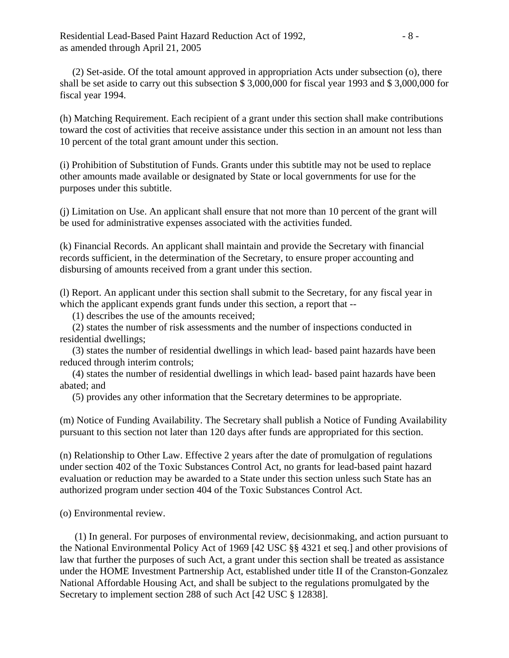(2) Set-aside. Of the total amount approved in appropriation Acts under subsection (o), there shall be set aside to carry out this subsection \$ 3,000,000 for fiscal year 1993 and \$ 3,000,000 for fiscal year 1994.

(h) Matching Requirement. Each recipient of a grant under this section shall make contributions toward the cost of activities that receive assistance under this section in an amount not less than 10 percent of the total grant amount under this section.

(i) Prohibition of Substitution of Funds. Grants under this subtitle may not be used to replace other amounts made available or designated by State or local governments for use for the purposes under this subtitle.

(j) Limitation on Use. An applicant shall ensure that not more than 10 percent of the grant will be used for administrative expenses associated with the activities funded.

(k) Financial Records. An applicant shall maintain and provide the Secretary with financial records sufficient, in the determination of the Secretary, to ensure proper accounting and disbursing of amounts received from a grant under this section.

(l) Report. An applicant under this section shall submit to the Secretary, for any fiscal year in which the applicant expends grant funds under this section, a report that --

(1) describes the use of the amounts received;

 (2) states the number of risk assessments and the number of inspections conducted in residential dwellings;

 (3) states the number of residential dwellings in which lead- based paint hazards have been reduced through interim controls;

 (4) states the number of residential dwellings in which lead- based paint hazards have been abated; and

(5) provides any other information that the Secretary determines to be appropriate.

(m) Notice of Funding Availability. The Secretary shall publish a Notice of Funding Availability pursuant to this section not later than 120 days after funds are appropriated for this section.

(n) Relationship to Other Law. Effective 2 years after the date of promulgation of regulations under section 402 of the Toxic Substances Control Act, no grants for lead-based paint hazard evaluation or reduction may be awarded to a State under this section unless such State has an authorized program under section 404 of the Toxic Substances Control Act.

(o) Environmental review.

 (1) In general. For purposes of environmental review, decisionmaking, and action pursuant to the National Environmental Policy Act of 1969 [42 USC §§ 4321 et seq.] and other provisions of law that further the purposes of such Act, a grant under this section shall be treated as assistance under the HOME Investment Partnership Act, established under title II of the Cranston-Gonzalez National Affordable Housing Act, and shall be subject to the regulations promulgated by the Secretary to implement section 288 of such Act [42 USC § 12838].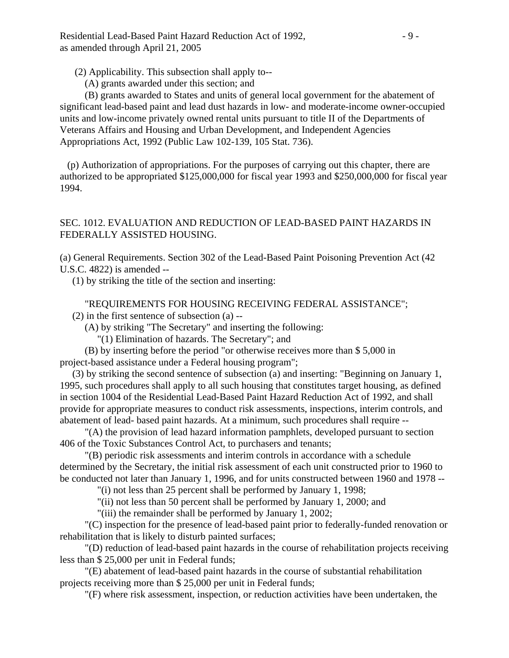- (2) Applicability. This subsection shall apply to--
	- (A) grants awarded under this section; and

 (B) grants awarded to States and units of general local government for the abatement of significant lead-based paint and lead dust hazards in low- and moderate-income owner-occupied units and low-income privately owned rental units pursuant to title II of the Departments of Veterans Affairs and Housing and Urban Development, and Independent Agencies Appropriations Act, 1992 (Public Law 102-139, 105 Stat. 736).

 (p) Authorization of appropriations. For the purposes of carrying out this chapter, there are authorized to be appropriated \$125,000,000 for fiscal year 1993 and \$250,000,000 for fiscal year 1994.

## SEC. 1012. EVALUATION AND REDUCTION OF LEAD-BASED PAINT HAZARDS IN FEDERALLY ASSISTED HOUSING.

(a) General Requirements. Section 302 of the Lead-Based Paint Poisoning Prevention Act (42 U.S.C. 4822) is amended --

(1) by striking the title of the section and inserting:

"REQUIREMENTS FOR HOUSING RECEIVING FEDERAL ASSISTANCE";

(2) in the first sentence of subsection (a) --

(A) by striking "The Secretary" and inserting the following:

"(1) Elimination of hazards. The Secretary"; and

 (B) by inserting before the period "or otherwise receives more than \$ 5,000 in project-based assistance under a Federal housing program";

 (3) by striking the second sentence of subsection (a) and inserting: "Beginning on January 1, 1995, such procedures shall apply to all such housing that constitutes target housing, as defined in section 1004 of the Residential Lead-Based Paint Hazard Reduction Act of 1992, and shall provide for appropriate measures to conduct risk assessments, inspections, interim controls, and abatement of lead- based paint hazards. At a minimum, such procedures shall require --

 "(A) the provision of lead hazard information pamphlets, developed pursuant to section 406 of the Toxic Substances Control Act, to purchasers and tenants;

 "(B) periodic risk assessments and interim controls in accordance with a schedule determined by the Secretary, the initial risk assessment of each unit constructed prior to 1960 to be conducted not later than January 1, 1996, and for units constructed between 1960 and 1978 --

"(i) not less than 25 percent shall be performed by January 1, 1998;

"(ii) not less than 50 percent shall be performed by January 1, 2000; and

"(iii) the remainder shall be performed by January 1, 2002;

 "(C) inspection for the presence of lead-based paint prior to federally-funded renovation or rehabilitation that is likely to disturb painted surfaces;

 "(D) reduction of lead-based paint hazards in the course of rehabilitation projects receiving less than \$ 25,000 per unit in Federal funds;

 "(E) abatement of lead-based paint hazards in the course of substantial rehabilitation projects receiving more than \$ 25,000 per unit in Federal funds;

"(F) where risk assessment, inspection, or reduction activities have been undertaken, the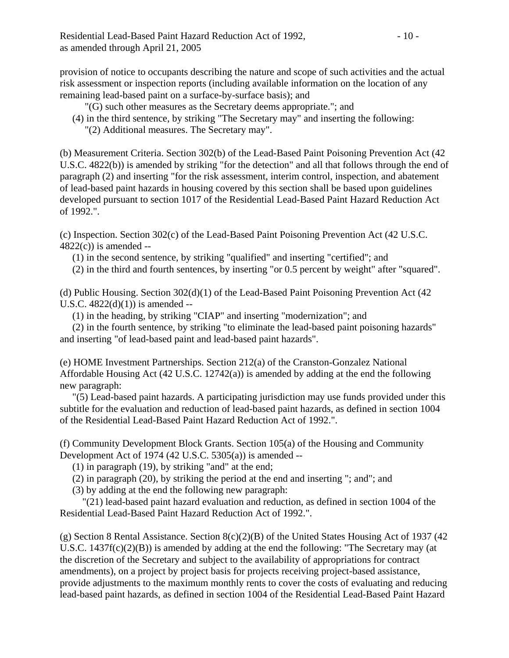provision of notice to occupants describing the nature and scope of such activities and the actual risk assessment or inspection reports (including available information on the location of any remaining lead-based paint on a surface-by-surface basis); and

- "(G) such other measures as the Secretary deems appropriate."; and
- (4) in the third sentence, by striking "The Secretary may" and inserting the following:
	- "(2) Additional measures. The Secretary may".

(b) Measurement Criteria. Section 302(b) of the Lead-Based Paint Poisoning Prevention Act (42 U.S.C. 4822(b)) is amended by striking "for the detection" and all that follows through the end of paragraph (2) and inserting "for the risk assessment, interim control, inspection, and abatement of lead-based paint hazards in housing covered by this section shall be based upon guidelines developed pursuant to section 1017 of the Residential Lead-Based Paint Hazard Reduction Act of 1992.".

(c) Inspection. Section 302(c) of the Lead-Based Paint Poisoning Prevention Act (42 U.S.C.  $4822(c)$ ) is amended --

(1) in the second sentence, by striking "qualified" and inserting "certified"; and

(2) in the third and fourth sentences, by inserting "or 0.5 percent by weight" after "squared".

(d) Public Housing. Section 302(d)(1) of the Lead-Based Paint Poisoning Prevention Act (42 U.S.C.  $4822(d)(1)$  is amended --

(1) in the heading, by striking "CIAP" and inserting "modernization"; and

 (2) in the fourth sentence, by striking "to eliminate the lead-based paint poisoning hazards" and inserting "of lead-based paint and lead-based paint hazards".

(e) HOME Investment Partnerships. Section 212(a) of the Cranston-Gonzalez National Affordable Housing Act (42 U.S.C. 12742(a)) is amended by adding at the end the following new paragraph:

 "(5) Lead-based paint hazards. A participating jurisdiction may use funds provided under this subtitle for the evaluation and reduction of lead-based paint hazards, as defined in section 1004 of the Residential Lead-Based Paint Hazard Reduction Act of 1992.".

(f) Community Development Block Grants. Section 105(a) of the Housing and Community Development Act of 1974 (42 U.S.C. 5305(a)) is amended --

(1) in paragraph (19), by striking "and" at the end;

(2) in paragraph (20), by striking the period at the end and inserting "; and"; and

(3) by adding at the end the following new paragraph:

 "(21) lead-based paint hazard evaluation and reduction, as defined in section 1004 of the Residential Lead-Based Paint Hazard Reduction Act of 1992.".

(g) Section 8 Rental Assistance. Section  $8(c)(2)(B)$  of the United States Housing Act of 1937 (42) U.S.C. 1437f(c)(2)(B)) is amended by adding at the end the following: "The Secretary may (at the discretion of the Secretary and subject to the availability of appropriations for contract amendments), on a project by project basis for projects receiving project-based assistance, provide adjustments to the maximum monthly rents to cover the costs of evaluating and reducing lead-based paint hazards, as defined in section 1004 of the Residential Lead-Based Paint Hazard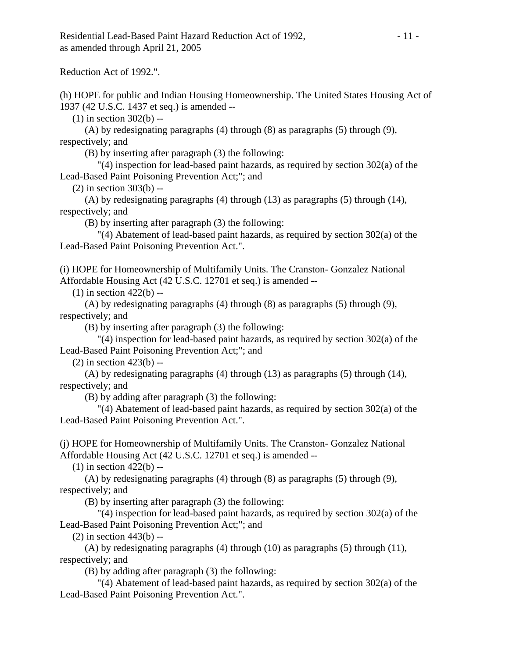Reduction Act of 1992.".

(h) HOPE for public and Indian Housing Homeownership. The United States Housing Act of 1937 (42 U.S.C. 1437 et seq.) is amended --

(1) in section 302(b) --

 (A) by redesignating paragraphs (4) through (8) as paragraphs (5) through (9), respectively; and

(B) by inserting after paragraph (3) the following:

 "(4) inspection for lead-based paint hazards, as required by section 302(a) of the Lead-Based Paint Poisoning Prevention Act;"; and

(2) in section 303(b) --

 (A) by redesignating paragraphs (4) through (13) as paragraphs (5) through (14), respectively; and

(B) by inserting after paragraph (3) the following:

 "(4) Abatement of lead-based paint hazards, as required by section 302(a) of the Lead-Based Paint Poisoning Prevention Act.".

(i) HOPE for Homeownership of Multifamily Units. The Cranston- Gonzalez National Affordable Housing Act (42 U.S.C. 12701 et seq.) is amended --

(1) in section 422(b) --

 (A) by redesignating paragraphs (4) through (8) as paragraphs (5) through (9), respectively; and

(B) by inserting after paragraph (3) the following:

 "(4) inspection for lead-based paint hazards, as required by section 302(a) of the Lead-Based Paint Poisoning Prevention Act;"; and

(2) in section 423(b) --

 (A) by redesignating paragraphs (4) through (13) as paragraphs (5) through (14), respectively; and

(B) by adding after paragraph (3) the following:

 "(4) Abatement of lead-based paint hazards, as required by section 302(a) of the Lead-Based Paint Poisoning Prevention Act.".

(j) HOPE for Homeownership of Multifamily Units. The Cranston- Gonzalez National Affordable Housing Act (42 U.S.C. 12701 et seq.) is amended --

(1) in section 422(b) --

 (A) by redesignating paragraphs (4) through (8) as paragraphs (5) through (9), respectively; and

(B) by inserting after paragraph (3) the following:

 "(4) inspection for lead-based paint hazards, as required by section 302(a) of the Lead-Based Paint Poisoning Prevention Act;"; and

(2) in section 443(b) --

 (A) by redesignating paragraphs (4) through (10) as paragraphs (5) through (11), respectively; and

(B) by adding after paragraph (3) the following:

 "(4) Abatement of lead-based paint hazards, as required by section 302(a) of the Lead-Based Paint Poisoning Prevention Act.".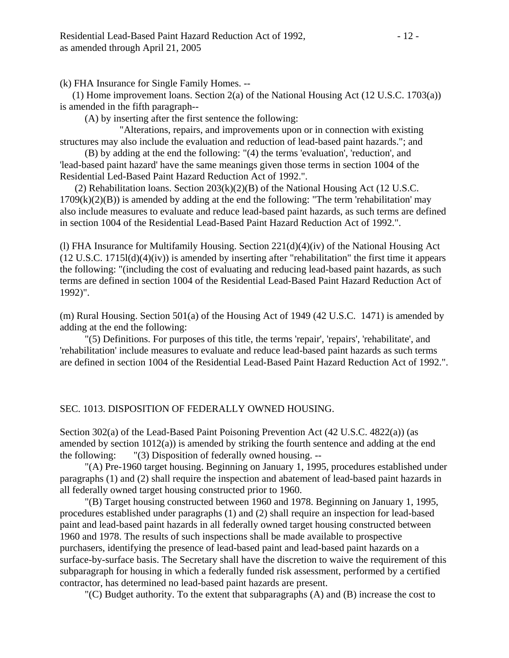(k) FHA Insurance for Single Family Homes. --

 (1) Home improvement loans. Section 2(a) of the National Housing Act (12 U.S.C. 1703(a)) is amended in the fifth paragraph--

(A) by inserting after the first sentence the following:

 "Alterations, repairs, and improvements upon or in connection with existing structures may also include the evaluation and reduction of lead-based paint hazards."; and

 (B) by adding at the end the following: "(4) the terms 'evaluation', 'reduction', and 'lead-based paint hazard' have the same meanings given those terms in section 1004 of the Residential Led-Based Paint Hazard Reduction Act of 1992.".

 (2) Rehabilitation loans. Section 203(k)(2)(B) of the National Housing Act (12 U.S.C.  $1709(k)(2)(B)$ ) is amended by adding at the end the following: "The term 'rehabilitation' may also include measures to evaluate and reduce lead-based paint hazards, as such terms are defined in section 1004 of the Residential Lead-Based Paint Hazard Reduction Act of 1992.".

(l) FHA Insurance for Multifamily Housing. Section 221(d)(4)(iv) of the National Housing Act (12 U.S.C. 1715l(d)(4)(iv)) is amended by inserting after "rehabilitation" the first time it appears the following: "(including the cost of evaluating and reducing lead-based paint hazards, as such terms are defined in section 1004 of the Residential Lead-Based Paint Hazard Reduction Act of 1992)".

(m) Rural Housing. Section 501(a) of the Housing Act of 1949 (42 U.S.C. 1471) is amended by adding at the end the following:

 "(5) Definitions. For purposes of this title, the terms 'repair', 'repairs', 'rehabilitate', and 'rehabilitation' include measures to evaluate and reduce lead-based paint hazards as such terms are defined in section 1004 of the Residential Lead-Based Paint Hazard Reduction Act of 1992.".

#### SEC. 1013. DISPOSITION OF FEDERALLY OWNED HOUSING.

Section 302(a) of the Lead-Based Paint Poisoning Prevention Act (42 U.S.C. 4822(a)) (as amended by section 1012(a)) is amended by striking the fourth sentence and adding at the end the following: "(3) Disposition of federally owned housing. --

 "(A) Pre-1960 target housing. Beginning on January 1, 1995, procedures established under paragraphs (1) and (2) shall require the inspection and abatement of lead-based paint hazards in all federally owned target housing constructed prior to 1960.

 "(B) Target housing constructed between 1960 and 1978. Beginning on January 1, 1995, procedures established under paragraphs (1) and (2) shall require an inspection for lead-based paint and lead-based paint hazards in all federally owned target housing constructed between 1960 and 1978. The results of such inspections shall be made available to prospective purchasers, identifying the presence of lead-based paint and lead-based paint hazards on a surface-by-surface basis. The Secretary shall have the discretion to waive the requirement of this subparagraph for housing in which a federally funded risk assessment, performed by a certified contractor, has determined no lead-based paint hazards are present.

"(C) Budget authority. To the extent that subparagraphs (A) and (B) increase the cost to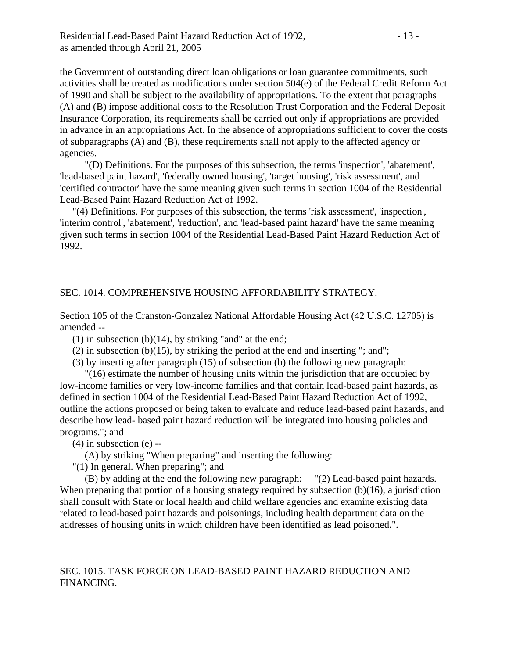the Government of outstanding direct loan obligations or loan guarantee commitments, such activities shall be treated as modifications under section 504(e) of the Federal Credit Reform Act of 1990 and shall be subject to the availability of appropriations. To the extent that paragraphs (A) and (B) impose additional costs to the Resolution Trust Corporation and the Federal Deposit Insurance Corporation, its requirements shall be carried out only if appropriations are provided in advance in an appropriations Act. In the absence of appropriations sufficient to cover the costs of subparagraphs (A) and (B), these requirements shall not apply to the affected agency or agencies.

 "(D) Definitions. For the purposes of this subsection, the terms 'inspection', 'abatement', 'lead-based paint hazard', 'federally owned housing', 'target housing', 'risk assessment', and 'certified contractor' have the same meaning given such terms in section 1004 of the Residential Lead-Based Paint Hazard Reduction Act of 1992.

 "(4) Definitions. For purposes of this subsection, the terms 'risk assessment', 'inspection', 'interim control', 'abatement', 'reduction', and 'lead-based paint hazard' have the same meaning given such terms in section 1004 of the Residential Lead-Based Paint Hazard Reduction Act of 1992.

### SEC. 1014. COMPREHENSIVE HOUSING AFFORDABILITY STRATEGY.

Section 105 of the Cranston-Gonzalez National Affordable Housing Act (42 U.S.C. 12705) is amended --

(1) in subsection (b)(14), by striking "and" at the end;

- (2) in subsection (b)(15), by striking the period at the end and inserting "; and";
- (3) by inserting after paragraph (15) of subsection (b) the following new paragraph:

 "(16) estimate the number of housing units within the jurisdiction that are occupied by low-income families or very low-income families and that contain lead-based paint hazards, as defined in section 1004 of the Residential Lead-Based Paint Hazard Reduction Act of 1992, outline the actions proposed or being taken to evaluate and reduce lead-based paint hazards, and describe how lead- based paint hazard reduction will be integrated into housing policies and programs."; and

 $(4)$  in subsection  $(e)$  --

(A) by striking "When preparing" and inserting the following:

"(1) In general. When preparing"; and

 (B) by adding at the end the following new paragraph: "(2) Lead-based paint hazards. When preparing that portion of a housing strategy required by subsection (b)(16), a jurisdiction shall consult with State or local health and child welfare agencies and examine existing data related to lead-based paint hazards and poisonings, including health department data on the addresses of housing units in which children have been identified as lead poisoned.".

# SEC. 1015. TASK FORCE ON LEAD-BASED PAINT HAZARD REDUCTION AND FINANCING.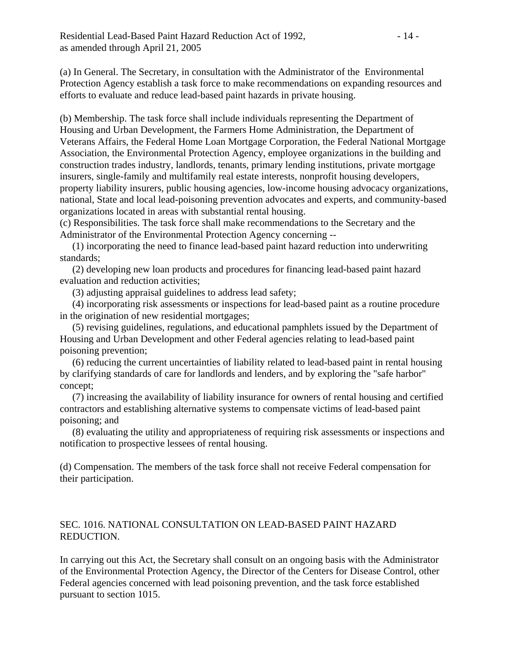(a) In General. The Secretary, in consultation with the Administrator of the Environmental Protection Agency establish a task force to make recommendations on expanding resources and efforts to evaluate and reduce lead-based paint hazards in private housing.

(b) Membership. The task force shall include individuals representing the Department of Housing and Urban Development, the Farmers Home Administration, the Department of Veterans Affairs, the Federal Home Loan Mortgage Corporation, the Federal National Mortgage Association, the Environmental Protection Agency, employee organizations in the building and construction trades industry, landlords, tenants, primary lending institutions, private mortgage insurers, single-family and multifamily real estate interests, nonprofit housing developers, property liability insurers, public housing agencies, low-income housing advocacy organizations, national, State and local lead-poisoning prevention advocates and experts, and community-based organizations located in areas with substantial rental housing.

(c) Responsibilities. The task force shall make recommendations to the Secretary and the Administrator of the Environmental Protection Agency concerning --

 (1) incorporating the need to finance lead-based paint hazard reduction into underwriting standards;

 (2) developing new loan products and procedures for financing lead-based paint hazard evaluation and reduction activities;

(3) adjusting appraisal guidelines to address lead safety;

 (4) incorporating risk assessments or inspections for lead-based paint as a routine procedure in the origination of new residential mortgages;

 (5) revising guidelines, regulations, and educational pamphlets issued by the Department of Housing and Urban Development and other Federal agencies relating to lead-based paint poisoning prevention;

 (6) reducing the current uncertainties of liability related to lead-based paint in rental housing by clarifying standards of care for landlords and lenders, and by exploring the "safe harbor" concept;

 (7) increasing the availability of liability insurance for owners of rental housing and certified contractors and establishing alternative systems to compensate victims of lead-based paint poisoning; and

 (8) evaluating the utility and appropriateness of requiring risk assessments or inspections and notification to prospective lessees of rental housing.

(d) Compensation. The members of the task force shall not receive Federal compensation for their participation.

## SEC. 1016. NATIONAL CONSULTATION ON LEAD-BASED PAINT HAZARD REDUCTION.

In carrying out this Act, the Secretary shall consult on an ongoing basis with the Administrator of the Environmental Protection Agency, the Director of the Centers for Disease Control, other Federal agencies concerned with lead poisoning prevention, and the task force established pursuant to section 1015.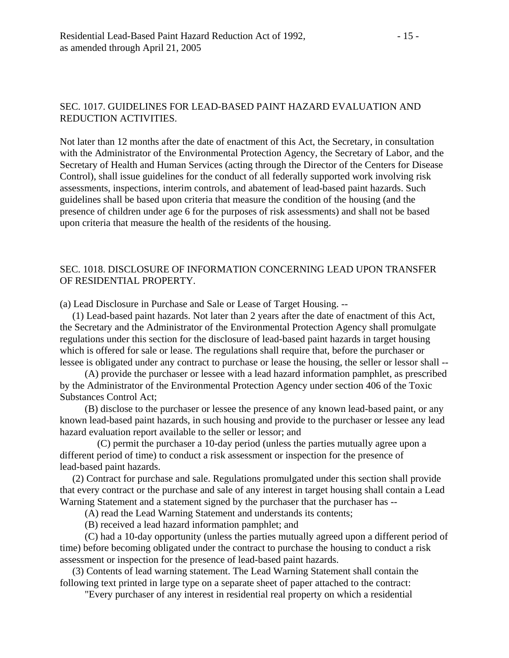## SEC. 1017. GUIDELINES FOR LEAD-BASED PAINT HAZARD EVALUATION AND REDUCTION ACTIVITIES.

Not later than 12 months after the date of enactment of this Act, the Secretary, in consultation with the Administrator of the Environmental Protection Agency, the Secretary of Labor, and the Secretary of Health and Human Services (acting through the Director of the Centers for Disease Control), shall issue guidelines for the conduct of all federally supported work involving risk assessments, inspections, interim controls, and abatement of lead-based paint hazards. Such guidelines shall be based upon criteria that measure the condition of the housing (and the presence of children under age 6 for the purposes of risk assessments) and shall not be based upon criteria that measure the health of the residents of the housing.

### SEC. 1018. DISCLOSURE OF INFORMATION CONCERNING LEAD UPON TRANSFER OF RESIDENTIAL PROPERTY.

(a) Lead Disclosure in Purchase and Sale or Lease of Target Housing. --

 (1) Lead-based paint hazards. Not later than 2 years after the date of enactment of this Act, the Secretary and the Administrator of the Environmental Protection Agency shall promulgate regulations under this section for the disclosure of lead-based paint hazards in target housing which is offered for sale or lease. The regulations shall require that, before the purchaser or lessee is obligated under any contract to purchase or lease the housing, the seller or lessor shall --

 (A) provide the purchaser or lessee with a lead hazard information pamphlet, as prescribed by the Administrator of the Environmental Protection Agency under section 406 of the Toxic Substances Control Act;

 (B) disclose to the purchaser or lessee the presence of any known lead-based paint, or any known lead-based paint hazards, in such housing and provide to the purchaser or lessee any lead hazard evaluation report available to the seller or lessor; and

 (C) permit the purchaser a 10-day period (unless the parties mutually agree upon a different period of time) to conduct a risk assessment or inspection for the presence of lead-based paint hazards.

 (2) Contract for purchase and sale. Regulations promulgated under this section shall provide that every contract or the purchase and sale of any interest in target housing shall contain a Lead Warning Statement and a statement signed by the purchaser that the purchaser has --

(A) read the Lead Warning Statement and understands its contents;

(B) received a lead hazard information pamphlet; and

 (C) had a 10-day opportunity (unless the parties mutually agreed upon a different period of time) before becoming obligated under the contract to purchase the housing to conduct a risk assessment or inspection for the presence of lead-based paint hazards.

 (3) Contents of lead warning statement. The Lead Warning Statement shall contain the following text printed in large type on a separate sheet of paper attached to the contract:

"Every purchaser of any interest in residential real property on which a residential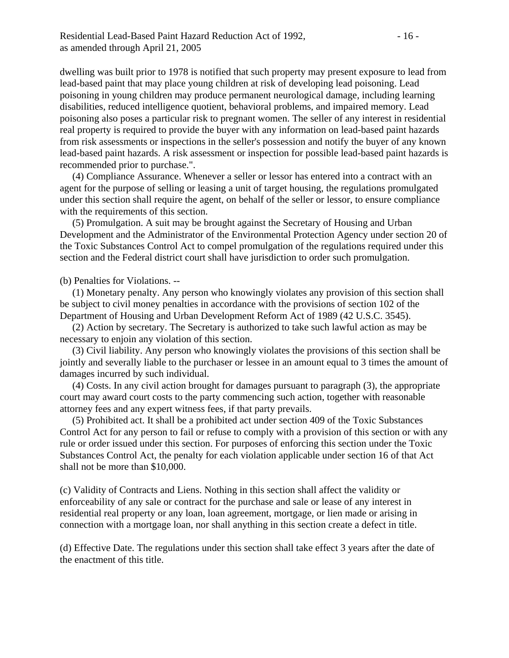dwelling was built prior to 1978 is notified that such property may present exposure to lead from lead-based paint that may place young children at risk of developing lead poisoning. Lead poisoning in young children may produce permanent neurological damage, including learning disabilities, reduced intelligence quotient, behavioral problems, and impaired memory. Lead poisoning also poses a particular risk to pregnant women. The seller of any interest in residential real property is required to provide the buyer with any information on lead-based paint hazards from risk assessments or inspections in the seller's possession and notify the buyer of any known lead-based paint hazards. A risk assessment or inspection for possible lead-based paint hazards is recommended prior to purchase.".

 (4) Compliance Assurance. Whenever a seller or lessor has entered into a contract with an agent for the purpose of selling or leasing a unit of target housing, the regulations promulgated under this section shall require the agent, on behalf of the seller or lessor, to ensure compliance with the requirements of this section.

 (5) Promulgation. A suit may be brought against the Secretary of Housing and Urban Development and the Administrator of the Environmental Protection Agency under section 20 of the Toxic Substances Control Act to compel promulgation of the regulations required under this section and the Federal district court shall have jurisdiction to order such promulgation.

(b) Penalties for Violations. --

 (1) Monetary penalty. Any person who knowingly violates any provision of this section shall be subject to civil money penalties in accordance with the provisions of section 102 of the Department of Housing and Urban Development Reform Act of 1989 (42 U.S.C. 3545).

 (2) Action by secretary. The Secretary is authorized to take such lawful action as may be necessary to enjoin any violation of this section.

 (3) Civil liability. Any person who knowingly violates the provisions of this section shall be jointly and severally liable to the purchaser or lessee in an amount equal to 3 times the amount of damages incurred by such individual.

 (4) Costs. In any civil action brought for damages pursuant to paragraph (3), the appropriate court may award court costs to the party commencing such action, together with reasonable attorney fees and any expert witness fees, if that party prevails.

 (5) Prohibited act. It shall be a prohibited act under section 409 of the Toxic Substances Control Act for any person to fail or refuse to comply with a provision of this section or with any rule or order issued under this section. For purposes of enforcing this section under the Toxic Substances Control Act, the penalty for each violation applicable under section 16 of that Act shall not be more than \$10,000.

(c) Validity of Contracts and Liens. Nothing in this section shall affect the validity or enforceability of any sale or contract for the purchase and sale or lease of any interest in residential real property or any loan, loan agreement, mortgage, or lien made or arising in connection with a mortgage loan, nor shall anything in this section create a defect in title.

(d) Effective Date. The regulations under this section shall take effect 3 years after the date of the enactment of this title.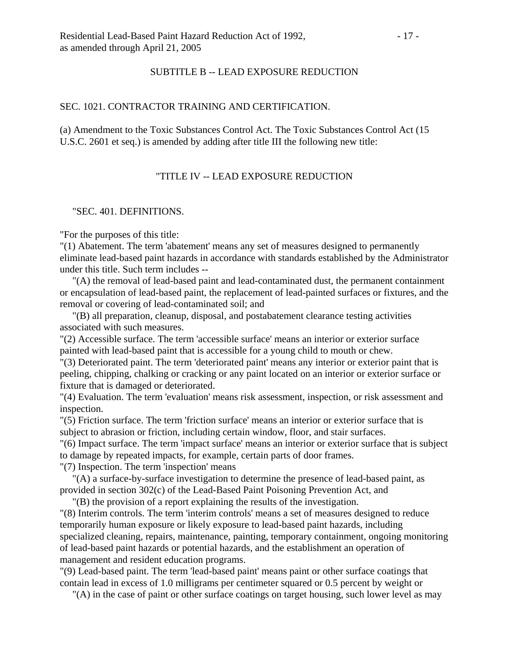#### SUBTITLE B -- LEAD EXPOSURE REDUCTION

### SEC. 1021. CONTRACTOR TRAINING AND CERTIFICATION.

(a) Amendment to the Toxic Substances Control Act. The Toxic Substances Control Act (15 U.S.C. 2601 et seq.) is amended by adding after title III the following new title:

### "TITLE IV -- LEAD EXPOSURE REDUCTION

#### "SEC. 401. DEFINITIONS.

"For the purposes of this title:

"(1) Abatement. The term 'abatement' means any set of measures designed to permanently eliminate lead-based paint hazards in accordance with standards established by the Administrator under this title. Such term includes --

 "(A) the removal of lead-based paint and lead-contaminated dust, the permanent containment or encapsulation of lead-based paint, the replacement of lead-painted surfaces or fixtures, and the removal or covering of lead-contaminated soil; and

 "(B) all preparation, cleanup, disposal, and postabatement clearance testing activities associated with such measures.

"(2) Accessible surface. The term 'accessible surface' means an interior or exterior surface painted with lead-based paint that is accessible for a young child to mouth or chew.

"(3) Deteriorated paint. The term 'deteriorated paint' means any interior or exterior paint that is peeling, chipping, chalking or cracking or any paint located on an interior or exterior surface or fixture that is damaged or deteriorated.

"(4) Evaluation. The term 'evaluation' means risk assessment, inspection, or risk assessment and inspection.

"(5) Friction surface. The term 'friction surface' means an interior or exterior surface that is subject to abrasion or friction, including certain window, floor, and stair surfaces.

"(6) Impact surface. The term 'impact surface' means an interior or exterior surface that is subject to damage by repeated impacts, for example, certain parts of door frames.

"(7) Inspection. The term 'inspection' means

 "(A) a surface-by-surface investigation to determine the presence of lead-based paint, as provided in section 302(c) of the Lead-Based Paint Poisoning Prevention Act, and

"(B) the provision of a report explaining the results of the investigation.

"(8) Interim controls. The term 'interim controls' means a set of measures designed to reduce temporarily human exposure or likely exposure to lead-based paint hazards, including specialized cleaning, repairs, maintenance, painting, temporary containment, ongoing monitoring of lead-based paint hazards or potential hazards, and the establishment an operation of management and resident education programs.

"(9) Lead-based paint. The term 'lead-based paint' means paint or other surface coatings that contain lead in excess of 1.0 milligrams per centimeter squared or 0.5 percent by weight or

"(A) in the case of paint or other surface coatings on target housing, such lower level as may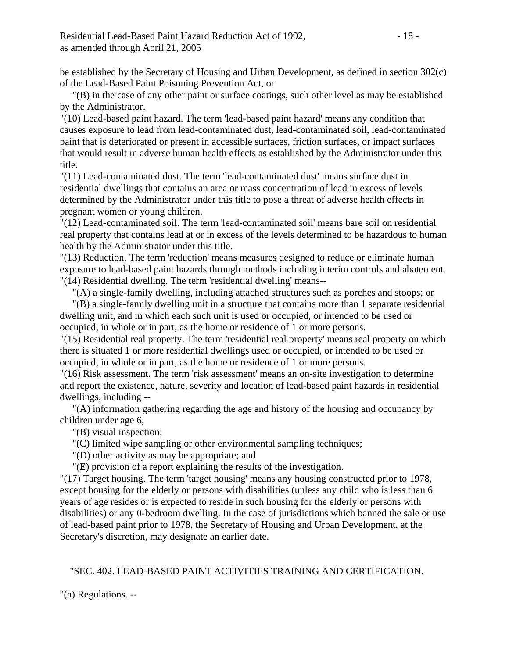be established by the Secretary of Housing and Urban Development, as defined in section 302(c) of the Lead-Based Paint Poisoning Prevention Act, or

 "(B) in the case of any other paint or surface coatings, such other level as may be established by the Administrator.

"(10) Lead-based paint hazard. The term 'lead-based paint hazard' means any condition that causes exposure to lead from lead-contaminated dust, lead-contaminated soil, lead-contaminated paint that is deteriorated or present in accessible surfaces, friction surfaces, or impact surfaces that would result in adverse human health effects as established by the Administrator under this title.

"(11) Lead-contaminated dust. The term 'lead-contaminated dust' means surface dust in residential dwellings that contains an area or mass concentration of lead in excess of levels determined by the Administrator under this title to pose a threat of adverse health effects in pregnant women or young children.

"(12) Lead-contaminated soil. The term 'lead-contaminated soil' means bare soil on residential real property that contains lead at or in excess of the levels determined to be hazardous to human health by the Administrator under this title.

"(13) Reduction. The term 'reduction' means measures designed to reduce or eliminate human exposure to lead-based paint hazards through methods including interim controls and abatement. "(14) Residential dwelling. The term 'residential dwelling' means--

"(A) a single-family dwelling, including attached structures such as porches and stoops; or

 "(B) a single-family dwelling unit in a structure that contains more than 1 separate residential dwelling unit, and in which each such unit is used or occupied, or intended to be used or occupied, in whole or in part, as the home or residence of 1 or more persons.

"(15) Residential real property. The term 'residential real property' means real property on which there is situated 1 or more residential dwellings used or occupied, or intended to be used or occupied, in whole or in part, as the home or residence of 1 or more persons.

"(16) Risk assessment. The term 'risk assessment' means an on-site investigation to determine and report the existence, nature, severity and location of lead-based paint hazards in residential dwellings, including --

 "(A) information gathering regarding the age and history of the housing and occupancy by children under age 6;

"(B) visual inspection;

"(C) limited wipe sampling or other environmental sampling techniques;

"(D) other activity as may be appropriate; and

"(E) provision of a report explaining the results of the investigation.

"(17) Target housing. The term 'target housing' means any housing constructed prior to 1978, except housing for the elderly or persons with disabilities (unless any child who is less than 6 years of age resides or is expected to reside in such housing for the elderly or persons with disabilities) or any 0-bedroom dwelling. In the case of jurisdictions which banned the sale or use of lead-based paint prior to 1978, the Secretary of Housing and Urban Development, at the Secretary's discretion, may designate an earlier date.

# "SEC. 402. LEAD-BASED PAINT ACTIVITIES TRAINING AND CERTIFICATION.

"(a) Regulations. --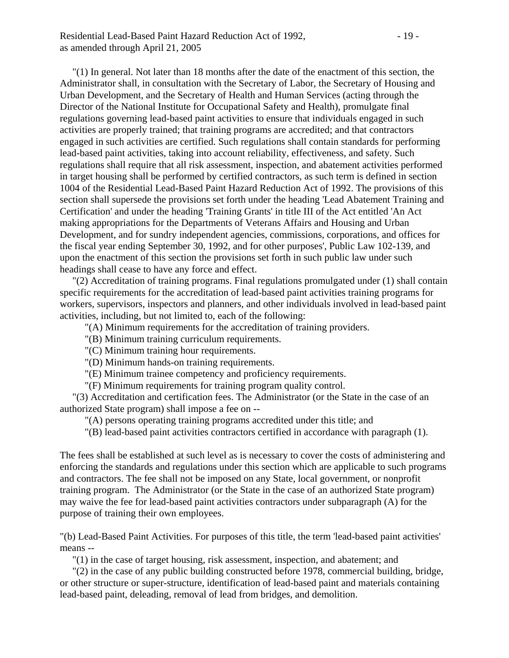Residential Lead-Based Paint Hazard Reduction Act of 1992, 49 - 19 as amended through April 21, 2005

 "(1) In general. Not later than 18 months after the date of the enactment of this section, the Administrator shall, in consultation with the Secretary of Labor, the Secretary of Housing and Urban Development, and the Secretary of Health and Human Services (acting through the Director of the National Institute for Occupational Safety and Health), promulgate final regulations governing lead-based paint activities to ensure that individuals engaged in such activities are properly trained; that training programs are accredited; and that contractors engaged in such activities are certified. Such regulations shall contain standards for performing lead-based paint activities, taking into account reliability, effectiveness, and safety. Such regulations shall require that all risk assessment, inspection, and abatement activities performed in target housing shall be performed by certified contractors, as such term is defined in section 1004 of the Residential Lead-Based Paint Hazard Reduction Act of 1992. The provisions of this section shall supersede the provisions set forth under the heading 'Lead Abatement Training and Certification' and under the heading 'Training Grants' in title III of the Act entitled 'An Act making appropriations for the Departments of Veterans Affairs and Housing and Urban Development, and for sundry independent agencies, commissions, corporations, and offices for the fiscal year ending September 30, 1992, and for other purposes', Public Law 102-139, and upon the enactment of this section the provisions set forth in such public law under such headings shall cease to have any force and effect.

 "(2) Accreditation of training programs. Final regulations promulgated under (1) shall contain specific requirements for the accreditation of lead-based paint activities training programs for workers, supervisors, inspectors and planners, and other individuals involved in lead-based paint activities, including, but not limited to, each of the following:

"(A) Minimum requirements for the accreditation of training providers.

"(B) Minimum training curriculum requirements.

"(C) Minimum training hour requirements.

"(D) Minimum hands-on training requirements.

"(E) Minimum trainee competency and proficiency requirements.

"(F) Minimum requirements for training program quality control.

 "(3) Accreditation and certification fees. The Administrator (or the State in the case of an authorized State program) shall impose a fee on --

"(A) persons operating training programs accredited under this title; and

"(B) lead-based paint activities contractors certified in accordance with paragraph (1).

The fees shall be established at such level as is necessary to cover the costs of administering and enforcing the standards and regulations under this section which are applicable to such programs and contractors. The fee shall not be imposed on any State, local government, or nonprofit training program. The Administrator (or the State in the case of an authorized State program) may waive the fee for lead-based paint activities contractors under subparagraph (A) for the purpose of training their own employees.

"(b) Lead-Based Paint Activities. For purposes of this title, the term 'lead-based paint activities' means --

"(1) in the case of target housing, risk assessment, inspection, and abatement; and

 "(2) in the case of any public building constructed before 1978, commercial building, bridge, or other structure or super-structure, identification of lead-based paint and materials containing lead-based paint, deleading, removal of lead from bridges, and demolition.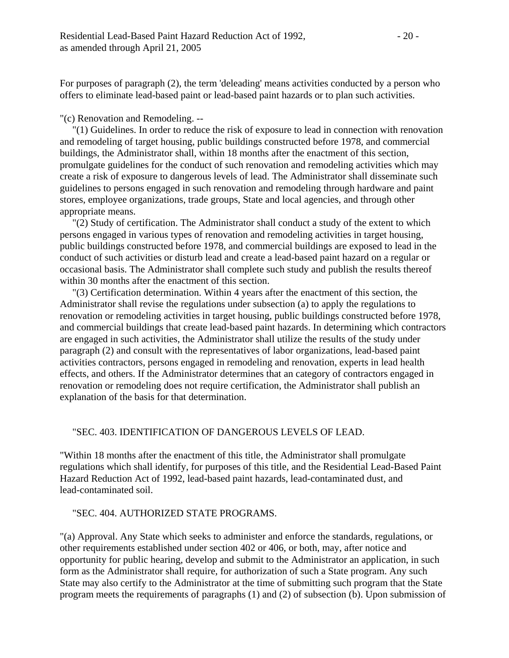For purposes of paragraph (2), the term 'deleading' means activities conducted by a person who offers to eliminate lead-based paint or lead-based paint hazards or to plan such activities.

"(c) Renovation and Remodeling. --

 "(1) Guidelines. In order to reduce the risk of exposure to lead in connection with renovation and remodeling of target housing, public buildings constructed before 1978, and commercial buildings, the Administrator shall, within 18 months after the enactment of this section, promulgate guidelines for the conduct of such renovation and remodeling activities which may create a risk of exposure to dangerous levels of lead. The Administrator shall disseminate such guidelines to persons engaged in such renovation and remodeling through hardware and paint stores, employee organizations, trade groups, State and local agencies, and through other appropriate means.

 "(2) Study of certification. The Administrator shall conduct a study of the extent to which persons engaged in various types of renovation and remodeling activities in target housing, public buildings constructed before 1978, and commercial buildings are exposed to lead in the conduct of such activities or disturb lead and create a lead-based paint hazard on a regular or occasional basis. The Administrator shall complete such study and publish the results thereof within 30 months after the enactment of this section.

 "(3) Certification determination. Within 4 years after the enactment of this section, the Administrator shall revise the regulations under subsection (a) to apply the regulations to renovation or remodeling activities in target housing, public buildings constructed before 1978, and commercial buildings that create lead-based paint hazards. In determining which contractors are engaged in such activities, the Administrator shall utilize the results of the study under paragraph (2) and consult with the representatives of labor organizations, lead-based paint activities contractors, persons engaged in remodeling and renovation, experts in lead health effects, and others. If the Administrator determines that an category of contractors engaged in renovation or remodeling does not require certification, the Administrator shall publish an explanation of the basis for that determination.

# "SEC. 403. IDENTIFICATION OF DANGEROUS LEVELS OF LEAD.

"Within 18 months after the enactment of this title, the Administrator shall promulgate regulations which shall identify, for purposes of this title, and the Residential Lead-Based Paint Hazard Reduction Act of 1992, lead-based paint hazards, lead-contaminated dust, and lead-contaminated soil.

### "SEC. 404. AUTHORIZED STATE PROGRAMS.

"(a) Approval. Any State which seeks to administer and enforce the standards, regulations, or other requirements established under section 402 or 406, or both, may, after notice and opportunity for public hearing, develop and submit to the Administrator an application, in such form as the Administrator shall require, for authorization of such a State program. Any such State may also certify to the Administrator at the time of submitting such program that the State program meets the requirements of paragraphs (1) and (2) of subsection (b). Upon submission of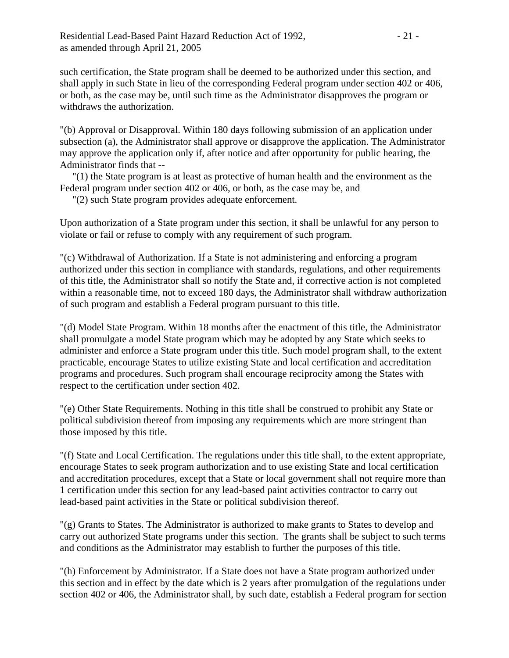such certification, the State program shall be deemed to be authorized under this section, and shall apply in such State in lieu of the corresponding Federal program under section 402 or 406, or both, as the case may be, until such time as the Administrator disapproves the program or withdraws the authorization.

"(b) Approval or Disapproval. Within 180 days following submission of an application under subsection (a), the Administrator shall approve or disapprove the application. The Administrator may approve the application only if, after notice and after opportunity for public hearing, the Administrator finds that --

 "(1) the State program is at least as protective of human health and the environment as the Federal program under section 402 or 406, or both, as the case may be, and

"(2) such State program provides adequate enforcement.

Upon authorization of a State program under this section, it shall be unlawful for any person to violate or fail or refuse to comply with any requirement of such program.

"(c) Withdrawal of Authorization. If a State is not administering and enforcing a program authorized under this section in compliance with standards, regulations, and other requirements of this title, the Administrator shall so notify the State and, if corrective action is not completed within a reasonable time, not to exceed 180 days, the Administrator shall withdraw authorization of such program and establish a Federal program pursuant to this title.

"(d) Model State Program. Within 18 months after the enactment of this title, the Administrator shall promulgate a model State program which may be adopted by any State which seeks to administer and enforce a State program under this title. Such model program shall, to the extent practicable, encourage States to utilize existing State and local certification and accreditation programs and procedures. Such program shall encourage reciprocity among the States with respect to the certification under section 402.

"(e) Other State Requirements. Nothing in this title shall be construed to prohibit any State or political subdivision thereof from imposing any requirements which are more stringent than those imposed by this title.

"(f) State and Local Certification. The regulations under this title shall, to the extent appropriate, encourage States to seek program authorization and to use existing State and local certification and accreditation procedures, except that a State or local government shall not require more than 1 certification under this section for any lead-based paint activities contractor to carry out lead-based paint activities in the State or political subdivision thereof.

"(g) Grants to States. The Administrator is authorized to make grants to States to develop and carry out authorized State programs under this section. The grants shall be subject to such terms and conditions as the Administrator may establish to further the purposes of this title.

"(h) Enforcement by Administrator. If a State does not have a State program authorized under this section and in effect by the date which is 2 years after promulgation of the regulations under section 402 or 406, the Administrator shall, by such date, establish a Federal program for section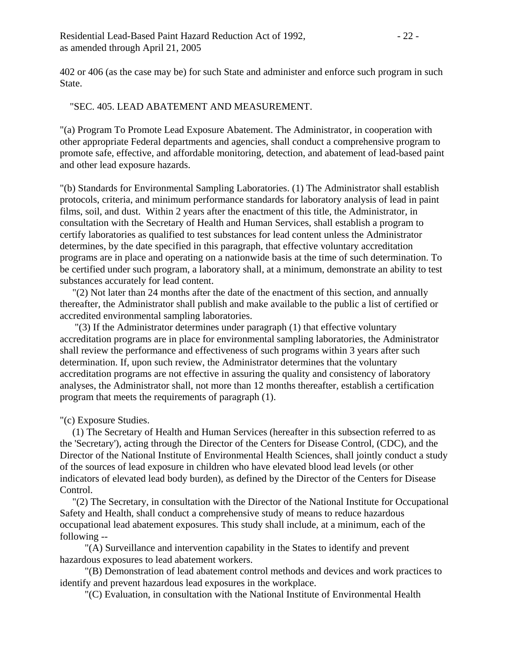402 or 406 (as the case may be) for such State and administer and enforce such program in such State.

### "SEC. 405. LEAD ABATEMENT AND MEASUREMENT.

"(a) Program To Promote Lead Exposure Abatement. The Administrator, in cooperation with other appropriate Federal departments and agencies, shall conduct a comprehensive program to promote safe, effective, and affordable monitoring, detection, and abatement of lead-based paint and other lead exposure hazards.

"(b) Standards for Environmental Sampling Laboratories. (1) The Administrator shall establish protocols, criteria, and minimum performance standards for laboratory analysis of lead in paint films, soil, and dust. Within 2 years after the enactment of this title, the Administrator, in consultation with the Secretary of Health and Human Services, shall establish a program to certify laboratories as qualified to test substances for lead content unless the Administrator determines, by the date specified in this paragraph, that effective voluntary accreditation programs are in place and operating on a nationwide basis at the time of such determination. To be certified under such program, a laboratory shall, at a minimum, demonstrate an ability to test substances accurately for lead content.

 "(2) Not later than 24 months after the date of the enactment of this section, and annually thereafter, the Administrator shall publish and make available to the public a list of certified or accredited environmental sampling laboratories.

 "(3) If the Administrator determines under paragraph (1) that effective voluntary accreditation programs are in place for environmental sampling laboratories, the Administrator shall review the performance and effectiveness of such programs within 3 years after such determination. If, upon such review, the Administrator determines that the voluntary accreditation programs are not effective in assuring the quality and consistency of laboratory analyses, the Administrator shall, not more than 12 months thereafter, establish a certification program that meets the requirements of paragraph (1).

"(c) Exposure Studies.

 (1) The Secretary of Health and Human Services (hereafter in this subsection referred to as the 'Secretary'), acting through the Director of the Centers for Disease Control, (CDC), and the Director of the National Institute of Environmental Health Sciences, shall jointly conduct a study of the sources of lead exposure in children who have elevated blood lead levels (or other indicators of elevated lead body burden), as defined by the Director of the Centers for Disease Control.

 "(2) The Secretary, in consultation with the Director of the National Institute for Occupational Safety and Health, shall conduct a comprehensive study of means to reduce hazardous occupational lead abatement exposures. This study shall include, at a minimum, each of the following --

 "(A) Surveillance and intervention capability in the States to identify and prevent hazardous exposures to lead abatement workers.

 "(B) Demonstration of lead abatement control methods and devices and work practices to identify and prevent hazardous lead exposures in the workplace.

"(C) Evaluation, in consultation with the National Institute of Environmental Health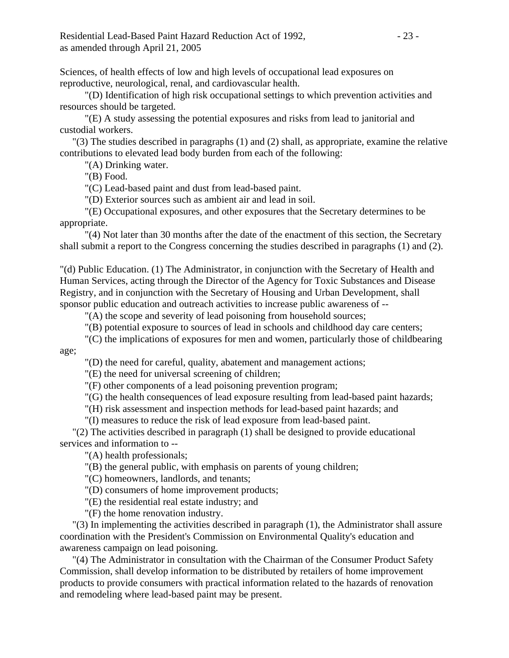Sciences, of health effects of low and high levels of occupational lead exposures on reproductive, neurological, renal, and cardiovascular health.

 "(D) Identification of high risk occupational settings to which prevention activities and resources should be targeted.

 "(E) A study assessing the potential exposures and risks from lead to janitorial and custodial workers.

 "(3) The studies described in paragraphs (1) and (2) shall, as appropriate, examine the relative contributions to elevated lead body burden from each of the following:

"(A) Drinking water.

"(B) Food.

"(C) Lead-based paint and dust from lead-based paint.

"(D) Exterior sources such as ambient air and lead in soil.

 "(E) Occupational exposures, and other exposures that the Secretary determines to be appropriate.

 "(4) Not later than 30 months after the date of the enactment of this section, the Secretary shall submit a report to the Congress concerning the studies described in paragraphs (1) and (2).

"(d) Public Education. (1) The Administrator, in conjunction with the Secretary of Health and Human Services, acting through the Director of the Agency for Toxic Substances and Disease Registry, and in conjunction with the Secretary of Housing and Urban Development, shall sponsor public education and outreach activities to increase public awareness of --

"(A) the scope and severity of lead poisoning from household sources;

"(B) potential exposure to sources of lead in schools and childhood day care centers;

 "(C) the implications of exposures for men and women, particularly those of childbearing age;

"(D) the need for careful, quality, abatement and management actions;

"(E) the need for universal screening of children;

"(F) other components of a lead poisoning prevention program;

"(G) the health consequences of lead exposure resulting from lead-based paint hazards;

"(H) risk assessment and inspection methods for lead-based paint hazards; and

"(I) measures to reduce the risk of lead exposure from lead-based paint.

 "(2) The activities described in paragraph (1) shall be designed to provide educational services and information to --

"(A) health professionals;

"(B) the general public, with emphasis on parents of young children;

"(C) homeowners, landlords, and tenants;

"(D) consumers of home improvement products;

"(E) the residential real estate industry; and

"(F) the home renovation industry.

 "(3) In implementing the activities described in paragraph (1), the Administrator shall assure coordination with the President's Commission on Environmental Quality's education and awareness campaign on lead poisoning.

 "(4) The Administrator in consultation with the Chairman of the Consumer Product Safety Commission, shall develop information to be distributed by retailers of home improvement products to provide consumers with practical information related to the hazards of renovation and remodeling where lead-based paint may be present.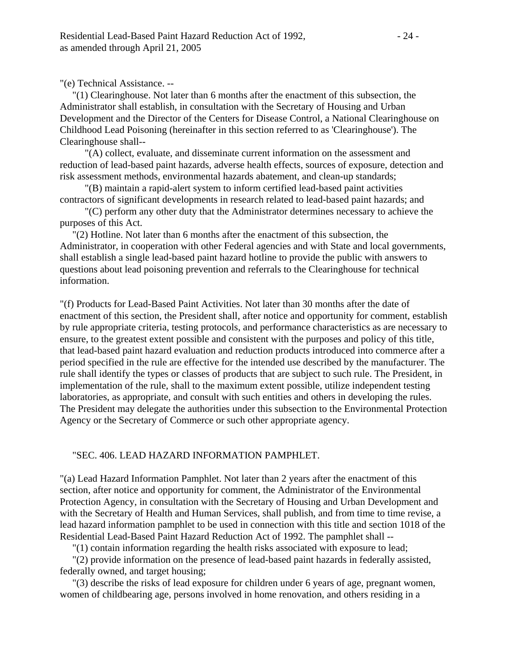"(e) Technical Assistance. --

 "(1) Clearinghouse. Not later than 6 months after the enactment of this subsection, the Administrator shall establish, in consultation with the Secretary of Housing and Urban Development and the Director of the Centers for Disease Control, a National Clearinghouse on Childhood Lead Poisoning (hereinafter in this section referred to as 'Clearinghouse'). The Clearinghouse shall--

 "(A) collect, evaluate, and disseminate current information on the assessment and reduction of lead-based paint hazards, adverse health effects, sources of exposure, detection and risk assessment methods, environmental hazards abatement, and clean-up standards;

 "(B) maintain a rapid-alert system to inform certified lead-based paint activities contractors of significant developments in research related to lead-based paint hazards; and

 "(C) perform any other duty that the Administrator determines necessary to achieve the purposes of this Act.

 "(2) Hotline. Not later than 6 months after the enactment of this subsection, the Administrator, in cooperation with other Federal agencies and with State and local governments, shall establish a single lead-based paint hazard hotline to provide the public with answers to questions about lead poisoning prevention and referrals to the Clearinghouse for technical information.

"(f) Products for Lead-Based Paint Activities. Not later than 30 months after the date of enactment of this section, the President shall, after notice and opportunity for comment, establish by rule appropriate criteria, testing protocols, and performance characteristics as are necessary to ensure, to the greatest extent possible and consistent with the purposes and policy of this title, that lead-based paint hazard evaluation and reduction products introduced into commerce after a period specified in the rule are effective for the intended use described by the manufacturer. The rule shall identify the types or classes of products that are subject to such rule. The President, in implementation of the rule, shall to the maximum extent possible, utilize independent testing laboratories, as appropriate, and consult with such entities and others in developing the rules. The President may delegate the authorities under this subsection to the Environmental Protection Agency or the Secretary of Commerce or such other appropriate agency.

### "SEC. 406. LEAD HAZARD INFORMATION PAMPHLET.

"(a) Lead Hazard Information Pamphlet. Not later than 2 years after the enactment of this section, after notice and opportunity for comment, the Administrator of the Environmental Protection Agency, in consultation with the Secretary of Housing and Urban Development and with the Secretary of Health and Human Services, shall publish, and from time to time revise, a lead hazard information pamphlet to be used in connection with this title and section 1018 of the Residential Lead-Based Paint Hazard Reduction Act of 1992. The pamphlet shall --

"(1) contain information regarding the health risks associated with exposure to lead;

 "(2) provide information on the presence of lead-based paint hazards in federally assisted, federally owned, and target housing;

 "(3) describe the risks of lead exposure for children under 6 years of age, pregnant women, women of childbearing age, persons involved in home renovation, and others residing in a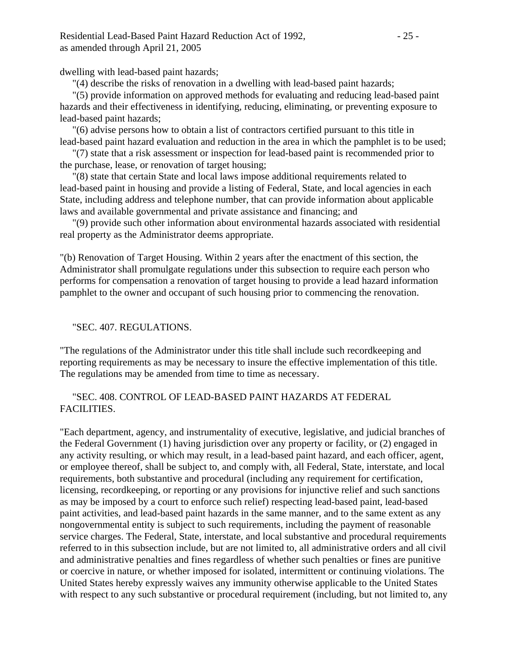Residential Lead-Based Paint Hazard Reduction Act of 1992, 25 as amended through April 21, 2005

dwelling with lead-based paint hazards;

"(4) describe the risks of renovation in a dwelling with lead-based paint hazards;

 "(5) provide information on approved methods for evaluating and reducing lead-based paint hazards and their effectiveness in identifying, reducing, eliminating, or preventing exposure to lead-based paint hazards;

 "(6) advise persons how to obtain a list of contractors certified pursuant to this title in lead-based paint hazard evaluation and reduction in the area in which the pamphlet is to be used;

 "(7) state that a risk assessment or inspection for lead-based paint is recommended prior to the purchase, lease, or renovation of target housing;

 "(8) state that certain State and local laws impose additional requirements related to lead-based paint in housing and provide a listing of Federal, State, and local agencies in each State, including address and telephone number, that can provide information about applicable laws and available governmental and private assistance and financing; and

 "(9) provide such other information about environmental hazards associated with residential real property as the Administrator deems appropriate.

"(b) Renovation of Target Housing. Within 2 years after the enactment of this section, the Administrator shall promulgate regulations under this subsection to require each person who performs for compensation a renovation of target housing to provide a lead hazard information pamphlet to the owner and occupant of such housing prior to commencing the renovation.

#### "SEC. 407. REGULATIONS.

"The regulations of the Administrator under this title shall include such recordkeeping and reporting requirements as may be necessary to insure the effective implementation of this title. The regulations may be amended from time to time as necessary.

# "SEC. 408. CONTROL OF LEAD-BASED PAINT HAZARDS AT FEDERAL FACILITIES.

"Each department, agency, and instrumentality of executive, legislative, and judicial branches of the Federal Government (1) having jurisdiction over any property or facility, or (2) engaged in any activity resulting, or which may result, in a lead-based paint hazard, and each officer, agent, or employee thereof, shall be subject to, and comply with, all Federal, State, interstate, and local requirements, both substantive and procedural (including any requirement for certification, licensing, recordkeeping, or reporting or any provisions for injunctive relief and such sanctions as may be imposed by a court to enforce such relief) respecting lead-based paint, lead-based paint activities, and lead-based paint hazards in the same manner, and to the same extent as any nongovernmental entity is subject to such requirements, including the payment of reasonable service charges. The Federal, State, interstate, and local substantive and procedural requirements referred to in this subsection include, but are not limited to, all administrative orders and all civil and administrative penalties and fines regardless of whether such penalties or fines are punitive or coercive in nature, or whether imposed for isolated, intermittent or continuing violations. The United States hereby expressly waives any immunity otherwise applicable to the United States with respect to any such substantive or procedural requirement (including, but not limited to, any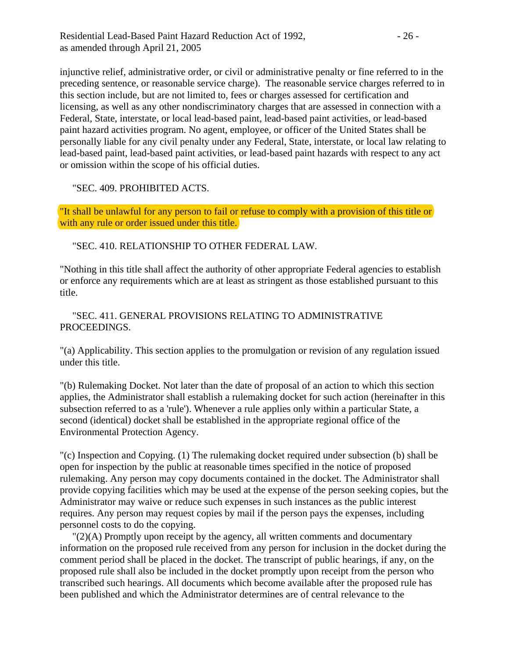Residential Lead-Based Paint Hazard Reduction Act of 1992, 26 as amended through April 21, 2005

injunctive relief, administrative order, or civil or administrative penalty or fine referred to in the preceding sentence, or reasonable service charge). The reasonable service charges referred to in this section include, but are not limited to, fees or charges assessed for certification and licensing, as well as any other nondiscriminatory charges that are assessed in connection with a Federal, State, interstate, or local lead-based paint, lead-based paint activities, or lead-based paint hazard activities program. No agent, employee, or officer of the United States shall be personally liable for any civil penalty under any Federal, State, interstate, or local law relating to lead-based paint, lead-based paint activities, or lead-based paint hazards with respect to any act or omission within the scope of his official duties.

### "SEC. 409. PROHIBITED ACTS.

"It shall be unlawful for any person to fail or refuse to comply with a provision of this title or with any rule or order issued under this title.

"SEC. 410. RELATIONSHIP TO OTHER FEDERAL LAW.

"Nothing in this title shall affect the authority of other appropriate Federal agencies to establish or enforce any requirements which are at least as stringent as those established pursuant to this title.

## "SEC. 411. GENERAL PROVISIONS RELATING TO ADMINISTRATIVE PROCEEDINGS.

"(a) Applicability. This section applies to the promulgation or revision of any regulation issued under this title.

"(b) Rulemaking Docket. Not later than the date of proposal of an action to which this section applies, the Administrator shall establish a rulemaking docket for such action (hereinafter in this subsection referred to as a 'rule'). Whenever a rule applies only within a particular State, a second (identical) docket shall be established in the appropriate regional office of the Environmental Protection Agency.

"(c) Inspection and Copying. (1) The rulemaking docket required under subsection (b) shall be open for inspection by the public at reasonable times specified in the notice of proposed rulemaking. Any person may copy documents contained in the docket. The Administrator shall provide copying facilities which may be used at the expense of the person seeking copies, but the Administrator may waive or reduce such expenses in such instances as the public interest requires. Any person may request copies by mail if the person pays the expenses, including personnel costs to do the copying.

 $\Gamma(2)$ (A) Promptly upon receipt by the agency, all written comments and documentary information on the proposed rule received from any person for inclusion in the docket during the comment period shall be placed in the docket. The transcript of public hearings, if any, on the proposed rule shall also be included in the docket promptly upon receipt from the person who transcribed such hearings. All documents which become available after the proposed rule has been published and which the Administrator determines are of central relevance to the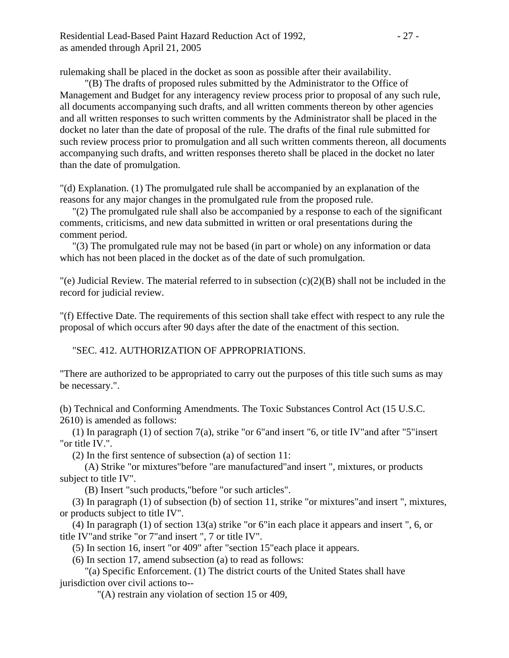Residential Lead-Based Paint Hazard Reduction Act of 1992, 27 as amended through April 21, 2005

rulemaking shall be placed in the docket as soon as possible after their availability.

 "(B) The drafts of proposed rules submitted by the Administrator to the Office of Management and Budget for any interagency review process prior to proposal of any such rule, all documents accompanying such drafts, and all written comments thereon by other agencies and all written responses to such written comments by the Administrator shall be placed in the docket no later than the date of proposal of the rule. The drafts of the final rule submitted for such review process prior to promulgation and all such written comments thereon, all documents accompanying such drafts, and written responses thereto shall be placed in the docket no later than the date of promulgation.

"(d) Explanation. (1) The promulgated rule shall be accompanied by an explanation of the reasons for any major changes in the promulgated rule from the proposed rule.

 "(2) The promulgated rule shall also be accompanied by a response to each of the significant comments, criticisms, and new data submitted in written or oral presentations during the comment period.

 "(3) The promulgated rule may not be based (in part or whole) on any information or data which has not been placed in the docket as of the date of such promulgation.

 $\Gamma$ (e) Judicial Review. The material referred to in subsection (c)(2)(B) shall not be included in the record for judicial review.

"(f) Effective Date. The requirements of this section shall take effect with respect to any rule the proposal of which occurs after 90 days after the date of the enactment of this section.

"SEC. 412. AUTHORIZATION OF APPROPRIATIONS.

"There are authorized to be appropriated to carry out the purposes of this title such sums as may be necessary.".

(b) Technical and Conforming Amendments. The Toxic Substances Control Act (15 U.S.C. 2610) is amended as follows:

 (1) In paragraph (1) of section 7(a), strike "or 6"and insert "6, or title IV"and after "5"insert "or title IV.".

(2) In the first sentence of subsection (a) of section 11:

 (A) Strike "or mixtures"before "are manufactured"and insert ", mixtures, or products subject to title IV".

(B) Insert "such products,"before "or such articles".

 (3) In paragraph (1) of subsection (b) of section 11, strike "or mixtures"and insert ", mixtures, or products subject to title IV".

 (4) In paragraph (1) of section 13(a) strike "or 6"in each place it appears and insert ", 6, or title IV"and strike "or 7"and insert ", 7 or title IV".

(5) In section 16, insert "or 409" after "section 15"each place it appears.

(6) In section 17, amend subsection (a) to read as follows:

 "(a) Specific Enforcement. (1) The district courts of the United States shall have jurisdiction over civil actions to--

"(A) restrain any violation of section 15 or 409,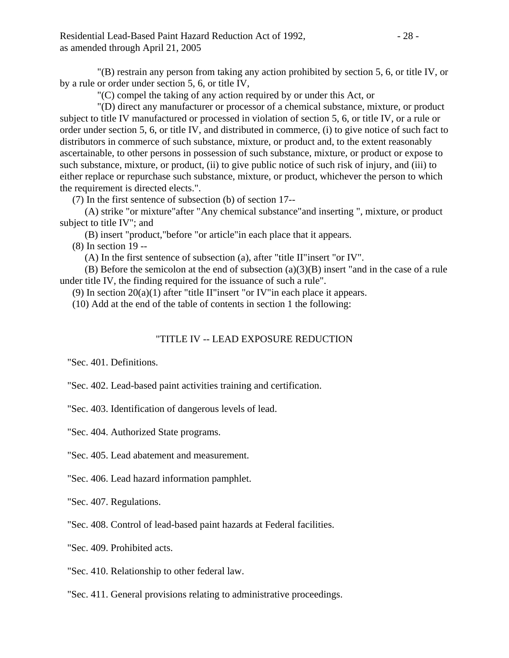"(B) restrain any person from taking any action prohibited by section 5, 6, or title IV, or by a rule or order under section 5, 6, or title IV,

"(C) compel the taking of any action required by or under this Act, or

 "(D) direct any manufacturer or processor of a chemical substance, mixture, or product subject to title IV manufactured or processed in violation of section 5, 6, or title IV, or a rule or order under section 5, 6, or title IV, and distributed in commerce, (i) to give notice of such fact to distributors in commerce of such substance, mixture, or product and, to the extent reasonably ascertainable, to other persons in possession of such substance, mixture, or product or expose to such substance, mixture, or product, (ii) to give public notice of such risk of injury, and (iii) to either replace or repurchase such substance, mixture, or product, whichever the person to which the requirement is directed elects.".

(7) In the first sentence of subsection (b) of section 17--

 (A) strike "or mixture"after "Any chemical substance"and inserting ", mixture, or product subject to title IV"; and

(B) insert "product,"before "or article"in each place that it appears.

(8) In section 19 --

(A) In the first sentence of subsection (a), after "title II"insert "or IV".

 (B) Before the semicolon at the end of subsection (a)(3)(B) insert "and in the case of a rule under title IV, the finding required for the issuance of such a rule".

(9) In section  $20(a)(1)$  after "title II"insert "or IV"in each place it appears.

(10) Add at the end of the table of contents in section 1 the following:

### "TITLE IV -- LEAD EXPOSURE REDUCTION

"Sec. 401. Definitions.

- "Sec. 402. Lead-based paint activities training and certification.
- "Sec. 403. Identification of dangerous levels of lead.
- "Sec. 404. Authorized State programs.
- "Sec. 405. Lead abatement and measurement.
- "Sec. 406. Lead hazard information pamphlet.
- "Sec. 407. Regulations.
- "Sec. 408. Control of lead-based paint hazards at Federal facilities.
- "Sec. 409. Prohibited acts.
- "Sec. 410. Relationship to other federal law.
- "Sec. 411. General provisions relating to administrative proceedings.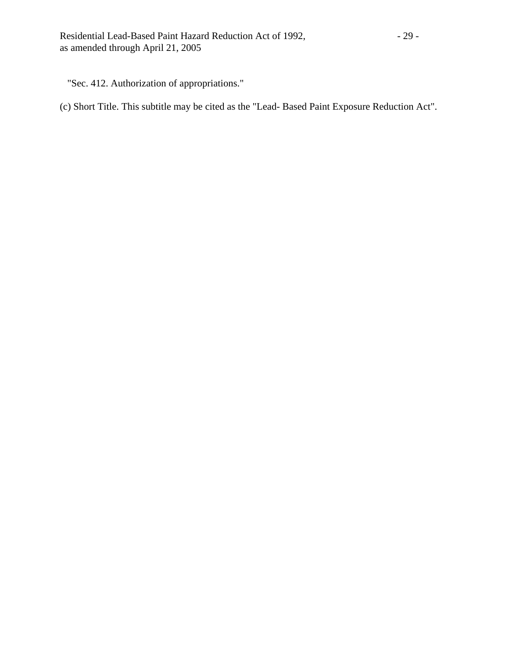"Sec. 412. Authorization of appropriations."

(c) Short Title. This subtitle may be cited as the "Lead- Based Paint Exposure Reduction Act".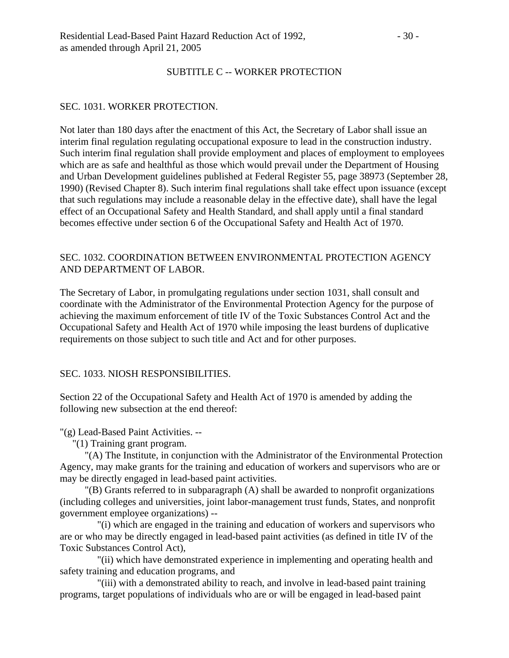### SUBTITLE C -- WORKER PROTECTION

### SEC. 1031. WORKER PROTECTION.

Not later than 180 days after the enactment of this Act, the Secretary of Labor shall issue an interim final regulation regulating occupational exposure to lead in the construction industry. Such interim final regulation shall provide employment and places of employment to employees which are as safe and healthful as those which would prevail under the Department of Housing and Urban Development guidelines published at Federal Register 55, page 38973 (September 28, 1990) (Revised Chapter 8). Such interim final regulations shall take effect upon issuance (except that such regulations may include a reasonable delay in the effective date), shall have the legal effect of an Occupational Safety and Health Standard, and shall apply until a final standard becomes effective under section 6 of the Occupational Safety and Health Act of 1970.

## SEC. 1032. COORDINATION BETWEEN ENVIRONMENTAL PROTECTION AGENCY AND DEPARTMENT OF LABOR.

The Secretary of Labor, in promulgating regulations under section 1031, shall consult and coordinate with the Administrator of the Environmental Protection Agency for the purpose of achieving the maximum enforcement of title IV of the Toxic Substances Control Act and the Occupational Safety and Health Act of 1970 while imposing the least burdens of duplicative requirements on those subject to such title and Act and for other purposes.

### SEC. 1033. NIOSH RESPONSIBILITIES.

Section 22 of the Occupational Safety and Health Act of 1970 is amended by adding the following new subsection at the end thereof:

"(g) Lead-Based Paint Activities. --

"(1) Training grant program.

 "(A) The Institute, in conjunction with the Administrator of the Environmental Protection Agency, may make grants for the training and education of workers and supervisors who are or may be directly engaged in lead-based paint activities.

 "(B) Grants referred to in subparagraph (A) shall be awarded to nonprofit organizations (including colleges and universities, joint labor-management trust funds, States, and nonprofit government employee organizations) --

 "(i) which are engaged in the training and education of workers and supervisors who are or who may be directly engaged in lead-based paint activities (as defined in title IV of the Toxic Substances Control Act),

 "(ii) which have demonstrated experience in implementing and operating health and safety training and education programs, and

 "(iii) with a demonstrated ability to reach, and involve in lead-based paint training programs, target populations of individuals who are or will be engaged in lead-based paint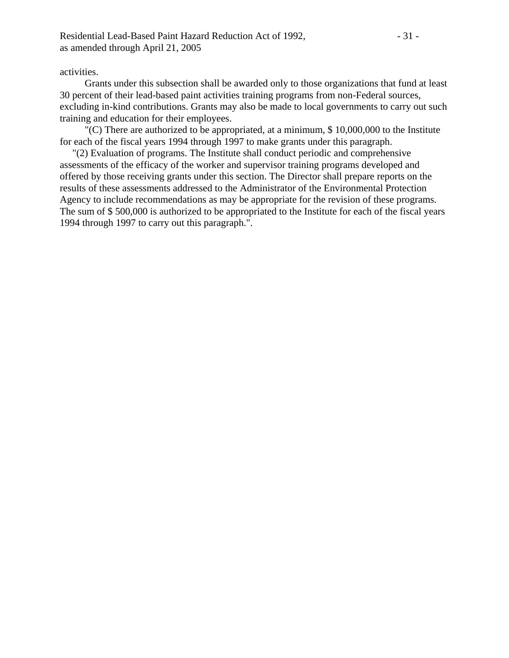activities.

 Grants under this subsection shall be awarded only to those organizations that fund at least 30 percent of their lead-based paint activities training programs from non-Federal sources, excluding in-kind contributions. Grants may also be made to local governments to carry out such training and education for their employees.

 "(C) There are authorized to be appropriated, at a minimum, \$ 10,000,000 to the Institute for each of the fiscal years 1994 through 1997 to make grants under this paragraph.

 "(2) Evaluation of programs. The Institute shall conduct periodic and comprehensive assessments of the efficacy of the worker and supervisor training programs developed and offered by those receiving grants under this section. The Director shall prepare reports on the results of these assessments addressed to the Administrator of the Environmental Protection Agency to include recommendations as may be appropriate for the revision of these programs. The sum of \$ 500,000 is authorized to be appropriated to the Institute for each of the fiscal years 1994 through 1997 to carry out this paragraph.".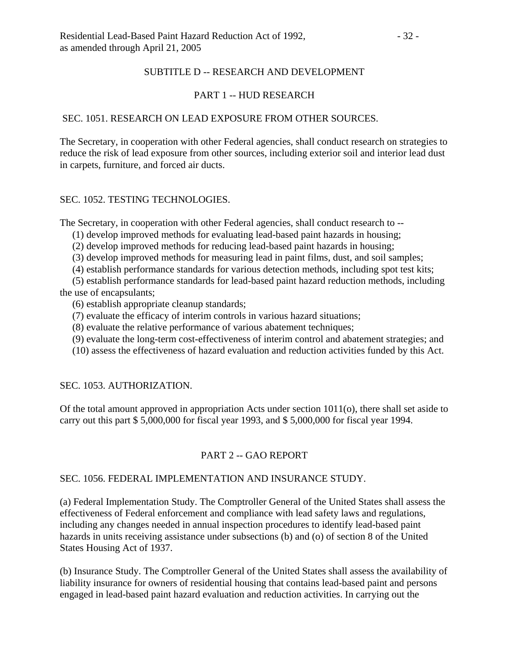### SUBTITLE D -- RESEARCH AND DEVELOPMENT

# PART 1 -- HUD RESEARCH

## SEC. 1051. RESEARCH ON LEAD EXPOSURE FROM OTHER SOURCES.

The Secretary, in cooperation with other Federal agencies, shall conduct research on strategies to reduce the risk of lead exposure from other sources, including exterior soil and interior lead dust in carpets, furniture, and forced air ducts.

## SEC. 1052. TESTING TECHNOLOGIES.

The Secretary, in cooperation with other Federal agencies, shall conduct research to --

(1) develop improved methods for evaluating lead-based paint hazards in housing;

(2) develop improved methods for reducing lead-based paint hazards in housing;

(3) develop improved methods for measuring lead in paint films, dust, and soil samples;

(4) establish performance standards for various detection methods, including spot test kits;

 (5) establish performance standards for lead-based paint hazard reduction methods, including the use of encapsulants;

(6) establish appropriate cleanup standards;

(7) evaluate the efficacy of interim controls in various hazard situations;

(8) evaluate the relative performance of various abatement techniques;

(9) evaluate the long-term cost-effectiveness of interim control and abatement strategies; and

(10) assess the effectiveness of hazard evaluation and reduction activities funded by this Act.

### SEC. 1053. AUTHORIZATION.

Of the total amount approved in appropriation Acts under section 1011(o), there shall set aside to carry out this part \$ 5,000,000 for fiscal year 1993, and \$ 5,000,000 for fiscal year 1994.

# PART 2 -- GAO REPORT

# SEC. 1056. FEDERAL IMPLEMENTATION AND INSURANCE STUDY.

(a) Federal Implementation Study. The Comptroller General of the United States shall assess the effectiveness of Federal enforcement and compliance with lead safety laws and regulations, including any changes needed in annual inspection procedures to identify lead-based paint hazards in units receiving assistance under subsections (b) and (o) of section 8 of the United States Housing Act of 1937.

(b) Insurance Study. The Comptroller General of the United States shall assess the availability of liability insurance for owners of residential housing that contains lead-based paint and persons engaged in lead-based paint hazard evaluation and reduction activities. In carrying out the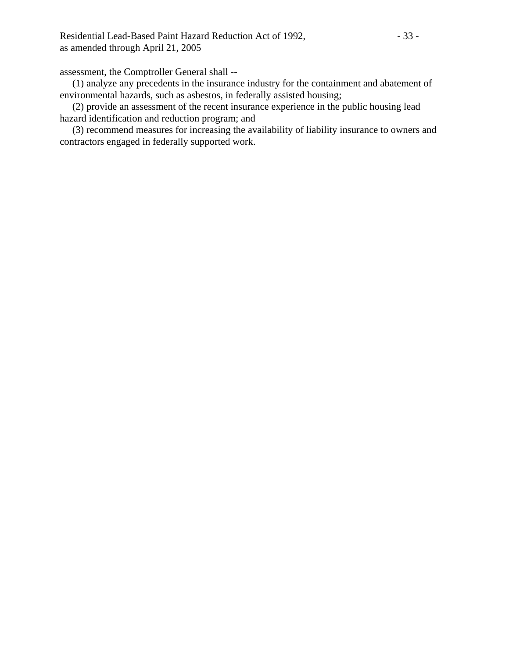assessment, the Comptroller General shall --

 (1) analyze any precedents in the insurance industry for the containment and abatement of environmental hazards, such as asbestos, in federally assisted housing;

 (2) provide an assessment of the recent insurance experience in the public housing lead hazard identification and reduction program; and

 (3) recommend measures for increasing the availability of liability insurance to owners and contractors engaged in federally supported work.